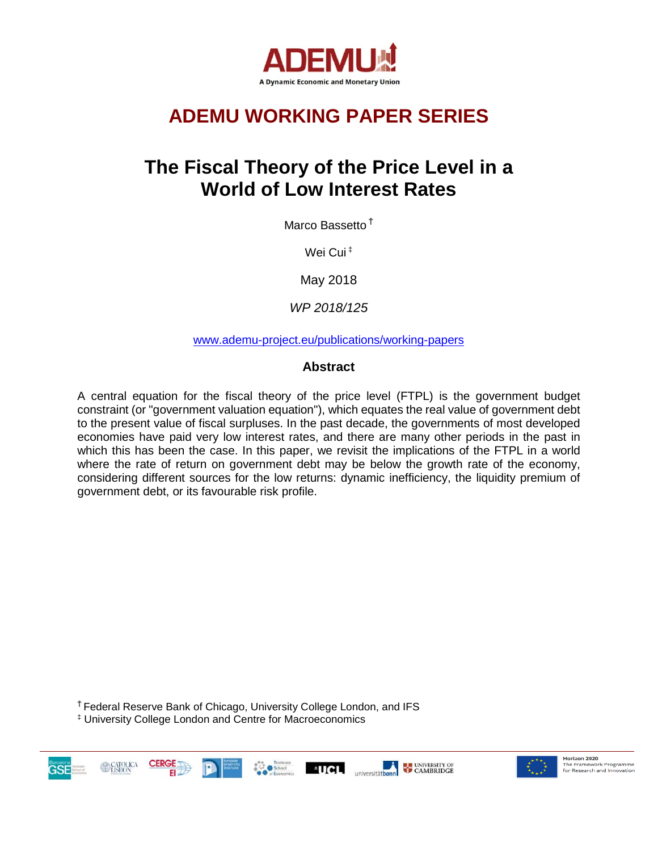

# **ADEMU WORKING PAPER SERIES**

## **The Fiscal Theory of the Price Level in a World of Low Interest Rates**

Marco Bassetto <sup>Ť</sup>

Wei Cui<sup>‡</sup>

May 2018

*WP 2018/125*

[www.ademu-project.eu/publications/working-papers](http://www.ademu-project.eu/publications/working-papers)

#### **Abstract**

A central equation for the fiscal theory of the price level (FTPL) is the government budget constraint (or "government valuation equation"), which equates the real value of government debt to the present value of fiscal surpluses. In the past decade, the governments of most developed economies have paid very low interest rates, and there are many other periods in the past in which this has been the case. In this paper, we revisit the implications of the FTPL in a world where the rate of return on government debt may be below the growth rate of the economy, considering different sources for the low returns: dynamic inefficiency, the liquidity premium of government debt, or its favourable risk profile.

<sup>Ť</sup>Federal Reserve Bank of Chicago, University College London, and IFS ‡ University College London and Centre for Macroeconomics





Horizon 2020 **Horizon 2020**<br>The Framework Programme<br>for Research and Innovation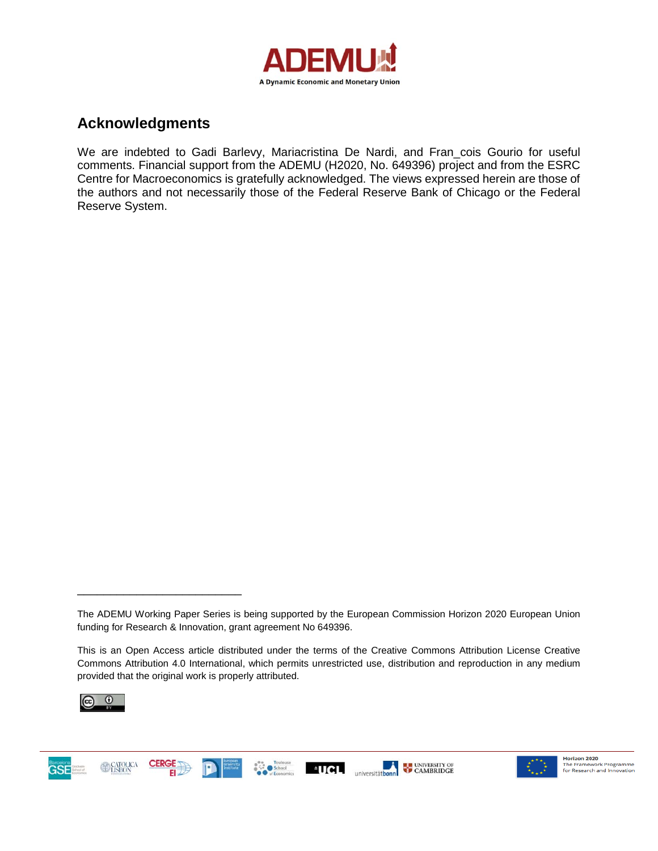

### **Acknowledgments**

We are indebted to Gadi Barlevy, Mariacristina De Nardi, and Fran\_cois Gourio for useful comments. Financial support from the ADEMU (H2020, No. 649396) project and from the ESRC Centre for Macroeconomics is gratefully acknowledged. The views expressed herein are those of the authors and not necessarily those of the Federal Reserve Bank of Chicago or the Federal Reserve System.

This is an Open Access article distributed under the terms of the Creative Commons Attribution License Creative Commons Attribution 4.0 International, which permits unrestricted use, distribution and reproduction in any medium provided that the original work is properly attributed.



\_\_\_\_\_\_\_\_\_\_\_\_\_\_\_\_\_\_\_\_\_\_\_\_\_





The ADEMU Working Paper Series is being supported by the European Commission Horizon 2020 European Union funding for Research & Innovation, grant agreement No 649396.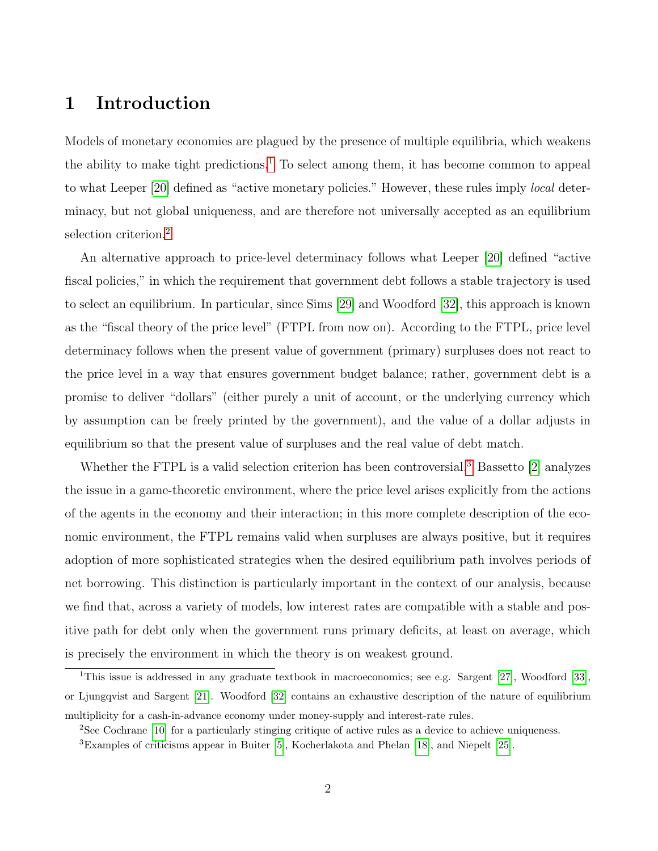### 1 Introduction

Models of monetary economies are plagued by the presence of multiple equilibria, which weakens the ability to make tight predictions.<sup>[1](#page-2-0)</sup> To select among them, it has become common to appeal to what Leeper [\[20\]](#page-26-0) defined as "active monetary policies." However, these rules imply local determinacy, but not global uniqueness, and are therefore not universally accepted as an equilibrium selection criterion.[2](#page-2-1)

An alternative approach to price-level determinacy follows what Leeper [\[20\]](#page-26-0) defined "active fiscal policies," in which the requirement that government debt follows a stable trajectory is used to select an equilibrium. In particular, since Sims [\[29\]](#page-26-1) and Woodford [\[32\]](#page-27-0), this approach is known as the "fiscal theory of the price level" (FTPL from now on). According to the FTPL, price level determinacy follows when the present value of government (primary) surpluses does not react to the price level in a way that ensures government budget balance; rather, government debt is a promise to deliver "dollars" (either purely a unit of account, or the underlying currency which by assumption can be freely printed by the government), and the value of a dollar adjusts in equilibrium so that the present value of surpluses and the real value of debt match.

Whether the FTPL is a valid selection criterion has been controversial.<sup>[3](#page-2-2)</sup> Bassetto [\[2\]](#page-24-0) analyzes the issue in a game-theoretic environment, where the price level arises explicitly from the actions of the agents in the economy and their interaction; in this more complete description of the economic environment, the FTPL remains valid when surpluses are always positive, but it requires adoption of more sophisticated strategies when the desired equilibrium path involves periods of net borrowing. This distinction is particularly important in the context of our analysis, because we find that, across a variety of models, low interest rates are compatible with a stable and positive path for debt only when the government runs primary deficits, at least on average, which is precisely the environment in which the theory is on weakest ground.

<span id="page-2-0"></span><sup>&</sup>lt;sup>1</sup>This issue is addressed in any graduate textbook in macroeconomics; see e.g. Sargent [\[27\]](#page-26-2), Woodford [\[33\]](#page-27-1), or Ljungqvist and Sargent [\[21\]](#page-26-3). Woodford [\[32\]](#page-27-0) contains an exhaustive description of the nature of equilibrium multiplicity for a cash-in-advance economy under money-supply and interest-rate rules.

<span id="page-2-2"></span><span id="page-2-1"></span><sup>2</sup>See Cochrane [\[10\]](#page-25-0) for a particularly stinging critique of active rules as a device to achieve uniqueness.

<sup>3</sup>Examples of criticisms appear in Buiter [\[5\]](#page-24-1), Kocherlakota and Phelan [\[18\]](#page-25-1), and Niepelt [\[25\]](#page-26-4).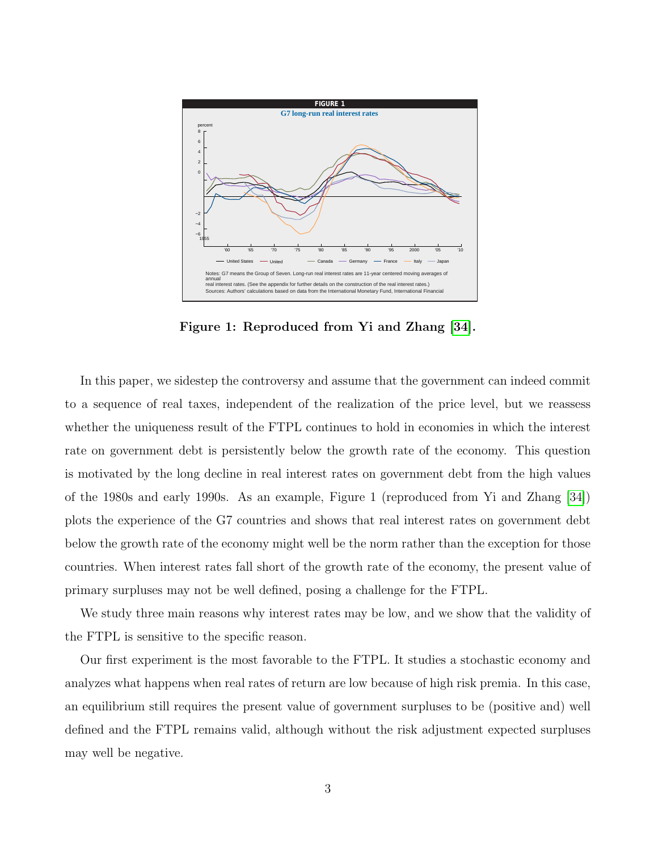

Figure 1: Reproduced from Yi and Zhang [\[34\]](#page-27-2).

In this paper, we sidestep the controversy and assume that the government can indeed commit to a sequence of real taxes, independent of the realization of the price level, but we reassess whether the uniqueness result of the FTPL continues to hold in economies in which the interest rate on government debt is persistently below the growth rate of the economy. This question is motivated by the long decline in real interest rates on government debt from the high values of the 1980s and early 1990s. As an example, Figure 1 (reproduced from Yi and Zhang [\[34\]](#page-27-2)) plots the experience of the G7 countries and shows that real interest rates on government debt below the growth rate of the economy might well be the norm rather than the exception for those countries. When interest rates fall short of the growth rate of the economy, the present value of primary surpluses may not be well defined, posing a challenge for the FTPL.

We study three main reasons why interest rates may be low, and we show that the validity of the FTPL is sensitive to the specific reason.

Our first experiment is the most favorable to the FTPL. It studies a stochastic economy and analyzes what happens when real rates of return are low because of high risk premia. In this case, an equilibrium still requires the present value of government surpluses to be (positive and) well defined and the FTPL remains valid, although without the risk adjustment expected surpluses may well be negative.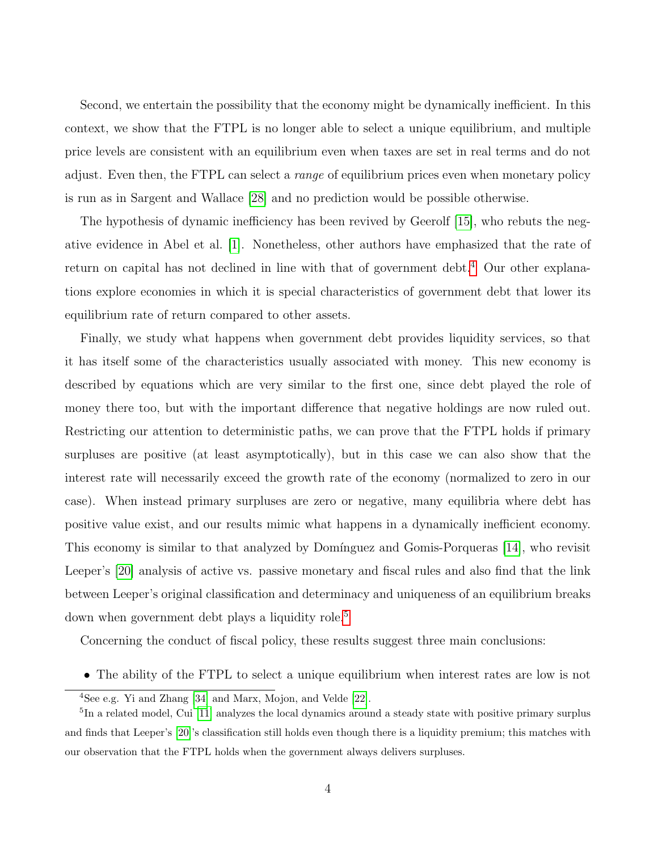Second, we entertain the possibility that the economy might be dynamically inefficient. In this context, we show that the FTPL is no longer able to select a unique equilibrium, and multiple price levels are consistent with an equilibrium even when taxes are set in real terms and do not adjust. Even then, the FTPL can select a *range* of equilibrium prices even when monetary policy is run as in Sargent and Wallace [\[28\]](#page-26-5) and no prediction would be possible otherwise.

The hypothesis of dynamic inefficiency has been revived by Geerolf [\[15\]](#page-25-2), who rebuts the negative evidence in Abel et al. [\[1\]](#page-24-2). Nonetheless, other authors have emphasized that the rate of return on capital has not declined in line with that of government debt.<sup>[4](#page-4-0)</sup> Our other explanations explore economies in which it is special characteristics of government debt that lower its equilibrium rate of return compared to other assets.

Finally, we study what happens when government debt provides liquidity services, so that it has itself some of the characteristics usually associated with money. This new economy is described by equations which are very similar to the first one, since debt played the role of money there too, but with the important difference that negative holdings are now ruled out. Restricting our attention to deterministic paths, we can prove that the FTPL holds if primary surpluses are positive (at least asymptotically), but in this case we can also show that the interest rate will necessarily exceed the growth rate of the economy (normalized to zero in our case). When instead primary surpluses are zero or negative, many equilibria where debt has positive value exist, and our results mimic what happens in a dynamically inefficient economy. This economy is similar to that analyzed by Domínguez and Gomis-Porqueras [\[14\]](#page-25-3), who revisit Leeper's [\[20\]](#page-26-0) analysis of active vs. passive monetary and fiscal rules and also find that the link between Leeper's original classification and determinacy and uniqueness of an equilibrium breaks down when government debt plays a liquidity role.<sup>[5](#page-4-1)</sup>

Concerning the conduct of fiscal policy, these results suggest three main conclusions:

• The ability of the FTPL to select a unique equilibrium when interest rates are low is not

<span id="page-4-1"></span><span id="page-4-0"></span> $4$ See e.g. Yi and Zhang [\[34\]](#page-27-2) and Marx, Mojon, and Velde [\[22\]](#page-26-6).

<sup>&</sup>lt;sup>5</sup>In a related model, Cui [\[11\]](#page-25-4) analyzes the local dynamics around a steady state with positive primary surplus and finds that Leeper's [\[20\]](#page-26-0)'s classification still holds even though there is a liquidity premium; this matches with our observation that the FTPL holds when the government always delivers surpluses.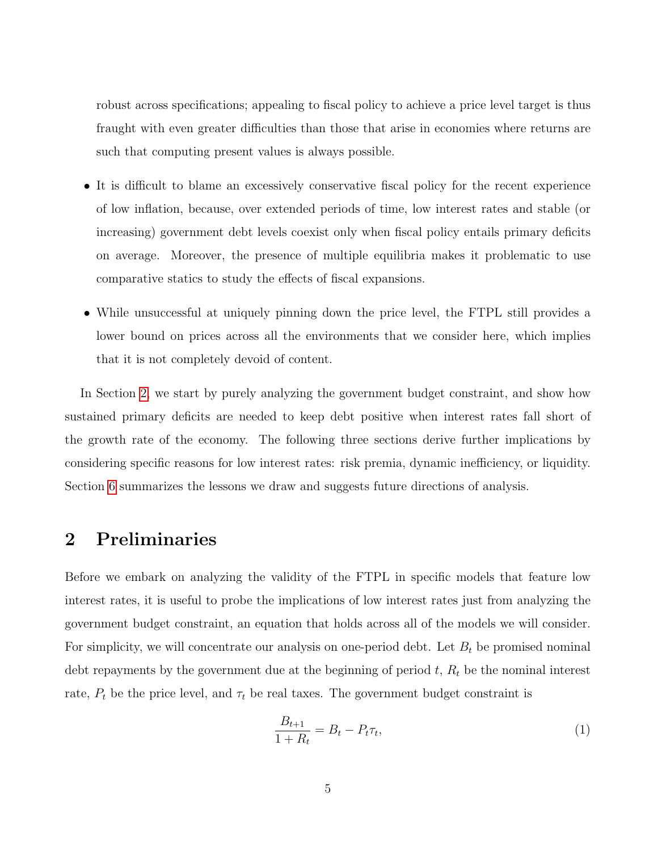robust across specifications; appealing to fiscal policy to achieve a price level target is thus fraught with even greater difficulties than those that arise in economies where returns are such that computing present values is always possible.

- It is difficult to blame an excessively conservative fiscal policy for the recent experience of low inflation, because, over extended periods of time, low interest rates and stable (or increasing) government debt levels coexist only when fiscal policy entails primary deficits on average. Moreover, the presence of multiple equilibria makes it problematic to use comparative statics to study the effects of fiscal expansions.
- While unsuccessful at uniquely pinning down the price level, the FTPL still provides a lower bound on prices across all the environments that we consider here, which implies that it is not completely devoid of content.

In Section [2,](#page-5-0) we start by purely analyzing the government budget constraint, and show how sustained primary deficits are needed to keep debt positive when interest rates fall short of the growth rate of the economy. The following three sections derive further implications by considering specific reasons for low interest rates: risk premia, dynamic inefficiency, or liquidity. Section [6](#page-23-0) summarizes the lessons we draw and suggests future directions of analysis.

### <span id="page-5-0"></span>2 Preliminaries

Before we embark on analyzing the validity of the FTPL in specific models that feature low interest rates, it is useful to probe the implications of low interest rates just from analyzing the government budget constraint, an equation that holds across all of the models we will consider. For simplicity, we will concentrate our analysis on one-period debt. Let  $B_t$  be promised nominal debt repayments by the government due at the beginning of period  $t, R_t$  be the nominal interest rate,  $P_t$  be the price level, and  $\tau_t$  be real taxes. The government budget constraint is

<span id="page-5-1"></span>
$$
\frac{B_{t+1}}{1+R_t} = B_t - P_t \tau_t,
$$
\n(1)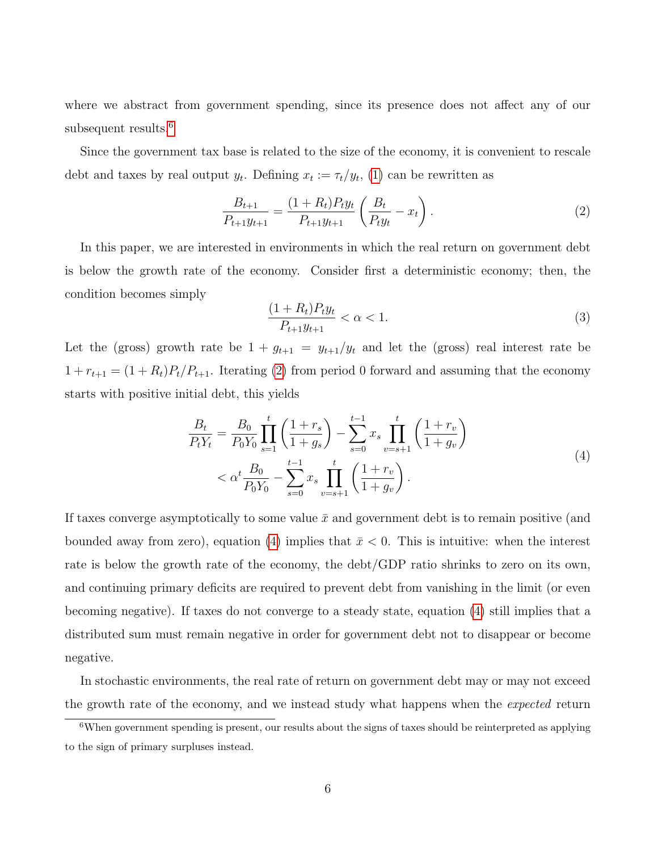where we abstract from government spending, since its presence does not affect any of our subsequent results.<sup>[6](#page-6-0)</sup>

Since the government tax base is related to the size of the economy, it is convenient to rescale debt and taxes by real output  $y_t$ . Defining  $x_t := \tau_t/y_t$ , [\(1\)](#page-5-1) can be rewritten as

<span id="page-6-1"></span>
$$
\frac{B_{t+1}}{P_{t+1}y_{t+1}} = \frac{(1+R_t)P_t y_t}{P_{t+1}y_{t+1}} \left(\frac{B_t}{P_t y_t} - x_t\right). \tag{2}
$$

In this paper, we are interested in environments in which the real return on government debt is below the growth rate of the economy. Consider first a deterministic economy; then, the condition becomes simply

<span id="page-6-3"></span>
$$
\frac{(1+R_t)P_t y_t}{P_{t+1}y_{t+1}} < \alpha < 1. \tag{3}
$$

Let the (gross) growth rate be  $1 + g_{t+1} = y_{t+1}/y_t$  and let the (gross) real interest rate be  $1 + r_{t+1} = (1 + R_t)P_t/P_{t+1}$ . Iterating [\(2\)](#page-6-1) from period 0 forward and assuming that the economy starts with positive initial debt, this yields

$$
\frac{B_t}{P_t Y_t} = \frac{B_0}{P_0 Y_0} \prod_{s=1}^t \left( \frac{1 + r_s}{1 + g_s} \right) - \sum_{s=0}^{t-1} x_s \prod_{v=s+1}^t \left( \frac{1 + r_v}{1 + g_v} \right)
$$
  

$$
< \alpha^t \frac{B_0}{P_0 Y_0} - \sum_{s=0}^{t-1} x_s \prod_{v=s+1}^t \left( \frac{1 + r_v}{1 + g_v} \right).
$$

$$
(4)
$$

<span id="page-6-2"></span>If taxes converge asymptotically to some value  $\bar{x}$  and government debt is to remain positive (and bounded away from zero), equation [\(4\)](#page-6-2) implies that  $\bar{x} < 0$ . This is intuitive: when the interest rate is below the growth rate of the economy, the debt/GDP ratio shrinks to zero on its own, and continuing primary deficits are required to prevent debt from vanishing in the limit (or even becoming negative). If taxes do not converge to a steady state, equation [\(4\)](#page-6-2) still implies that a distributed sum must remain negative in order for government debt not to disappear or become negative.

In stochastic environments, the real rate of return on government debt may or may not exceed the growth rate of the economy, and we instead study what happens when the expected return

<span id="page-6-0"></span><sup>&</sup>lt;sup>6</sup>When government spending is present, our results about the signs of taxes should be reinterpreted as applying to the sign of primary surpluses instead.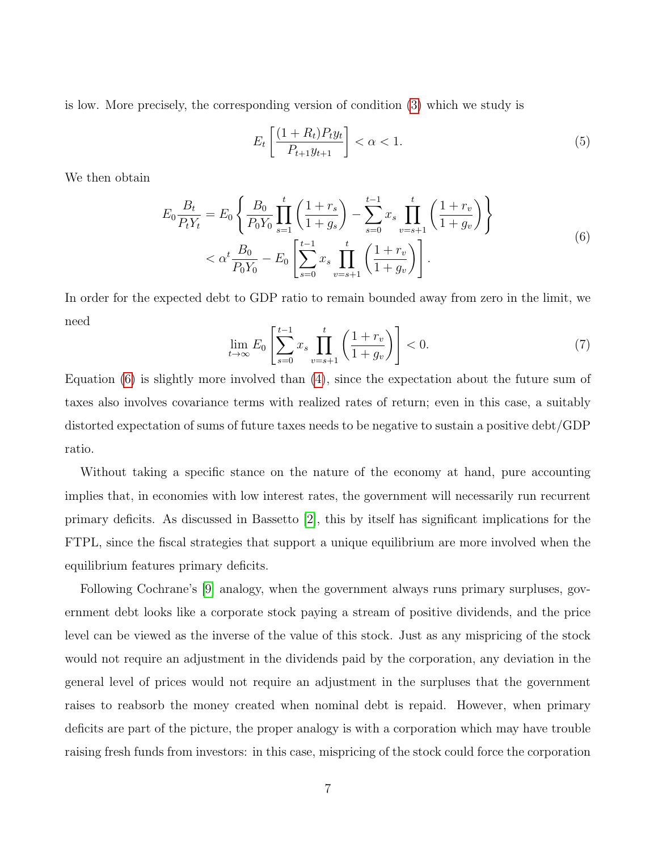is low. More precisely, the corresponding version of condition [\(3\)](#page-6-3) which we study is

<span id="page-7-1"></span>
$$
E_t\left[\frac{(1+R_t)P_ty_t}{P_{t+1}y_{t+1}}\right] < \alpha < 1. \tag{5}
$$

<span id="page-7-0"></span>We then obtain

$$
E_0 \frac{B_t}{P_t Y_t} = E_0 \left\{ \frac{B_0}{P_0 Y_0} \prod_{s=1}^t \left( \frac{1+r_s}{1+g_s} \right) - \sum_{s=0}^{t-1} x_s \prod_{v=s+1}^t \left( \frac{1+r_v}{1+g_v} \right) \right\}
$$
  

$$
< \alpha^t \frac{B_0}{P_0 Y_0} - E_0 \left[ \sum_{s=0}^{t-1} x_s \prod_{v=s+1}^t \left( \frac{1+r_v}{1+g_v} \right) \right].
$$
 (6)

In order for the expected debt to GDP ratio to remain bounded away from zero in the limit, we need

<span id="page-7-2"></span>
$$
\lim_{t \to \infty} E_0 \left[ \sum_{s=0}^{t-1} x_s \prod_{v=s+1}^t \left( \frac{1+r_v}{1+g_v} \right) \right] < 0. \tag{7}
$$

Equation [\(6\)](#page-7-0) is slightly more involved than [\(4\)](#page-6-2), since the expectation about the future sum of taxes also involves covariance terms with realized rates of return; even in this case, a suitably distorted expectation of sums of future taxes needs to be negative to sustain a positive debt/GDP ratio.

Without taking a specific stance on the nature of the economy at hand, pure accounting implies that, in economies with low interest rates, the government will necessarily run recurrent primary deficits. As discussed in Bassetto [\[2\]](#page-24-0), this by itself has significant implications for the FTPL, since the fiscal strategies that support a unique equilibrium are more involved when the equilibrium features primary deficits.

Following Cochrane's [\[9\]](#page-25-5) analogy, when the government always runs primary surpluses, government debt looks like a corporate stock paying a stream of positive dividends, and the price level can be viewed as the inverse of the value of this stock. Just as any mispricing of the stock would not require an adjustment in the dividends paid by the corporation, any deviation in the general level of prices would not require an adjustment in the surpluses that the government raises to reabsorb the money created when nominal debt is repaid. However, when primary deficits are part of the picture, the proper analogy is with a corporation which may have trouble raising fresh funds from investors: in this case, mispricing of the stock could force the corporation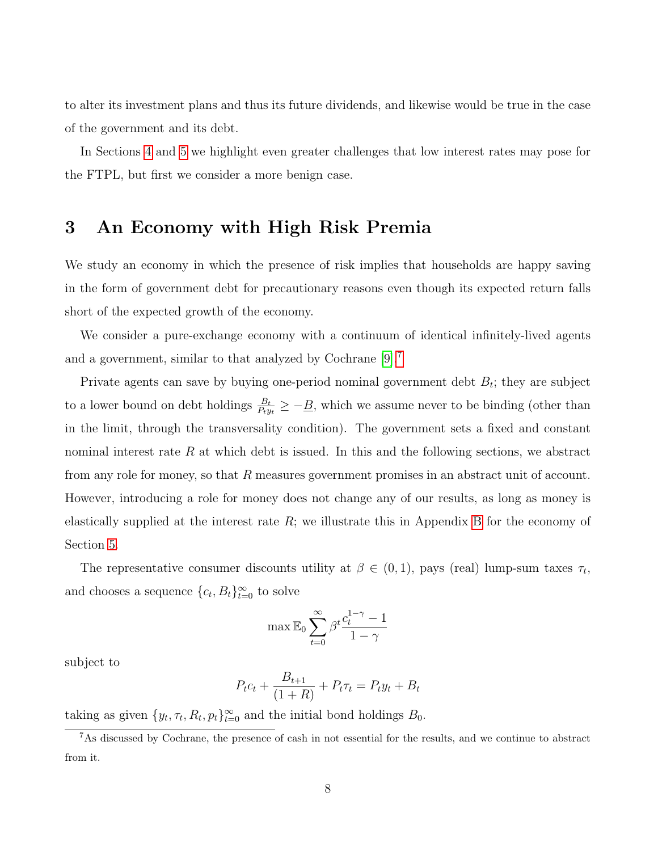to alter its investment plans and thus its future dividends, and likewise would be true in the case of the government and its debt.

In Sections [4](#page-10-0) and [5](#page-16-0) we highlight even greater challenges that low interest rates may pose for the FTPL, but first we consider a more benign case.

### <span id="page-8-1"></span>3 An Economy with High Risk Premia

We study an economy in which the presence of risk implies that households are happy saving in the form of government debt for precautionary reasons even though its expected return falls short of the expected growth of the economy.

We consider a pure-exchange economy with a continuum of identical infinitely-lived agents and a government, similar to that analyzed by Cochrane [\[9\]](#page-25-5).[7](#page-8-0)

Private agents can save by buying one-period nominal government debt  $B_t$ ; they are subject to a lower bound on debt holdings  $\frac{B_t}{P_t y_t} \ge -\underline{B}$ , which we assume never to be binding (other than in the limit, through the transversality condition). The government sets a fixed and constant nominal interest rate  $R$  at which debt is issued. In this and the following sections, we abstract from any role for money, so that R measures government promises in an abstract unit of account. However, introducing a role for money does not change any of our results, as long as money is elastically supplied at the interest rate  $R$ ; we illustrate this in Appendix [B](#page-30-0) for the economy of Section [5.](#page-16-0)

The representative consumer discounts utility at  $\beta \in (0,1)$ , pays (real) lump-sum taxes  $\tau_t$ , and chooses a sequence  ${c_t, B_t}_{t=0}^{\infty}$  to solve

$$
\max \mathbb{E}_0 \sum_{t=0}^\infty \beta^t \frac{c_t^{1-\gamma}-1}{1-\gamma}
$$

subject to

$$
P_t c_t + \frac{B_{t+1}}{(1+R)} + P_t \tau_t = P_t y_t + B_t
$$

taking as given  $\{y_t, \tau_t, R_t, p_t\}_{t=0}^{\infty}$  and the initial bond holdings  $B_0$ .

<span id="page-8-0"></span><sup>7</sup>As discussed by Cochrane, the presence of cash in not essential for the results, and we continue to abstract from it.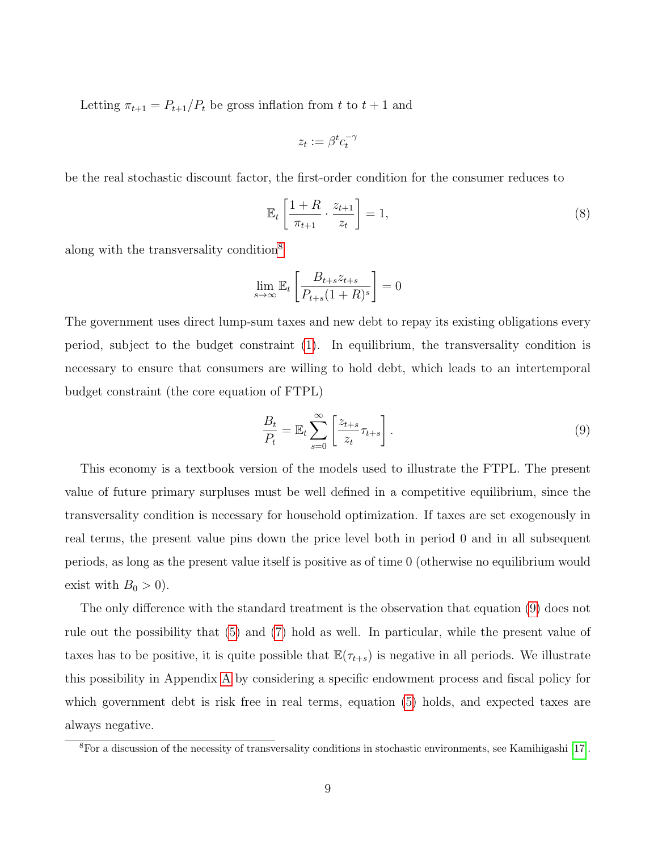Letting  $\pi_{t+1} = P_{t+1}/P_t$  be gross inflation from t to  $t+1$  and

$$
z_t:=\beta^t c_t^{-\gamma}
$$

be the real stochastic discount factor, the first-order condition for the consumer reduces to

<span id="page-9-2"></span>
$$
\mathbb{E}_t \left[ \frac{1+R}{\pi_{t+1}} \cdot \frac{z_{t+1}}{z_t} \right] = 1,\tag{8}
$$

along with the transversality condition[8](#page-9-0)

$$
\lim_{s \to \infty} \mathbb{E}_t \left[ \frac{B_{t+s} z_{t+s}}{P_{t+s} (1+R)^s} \right] = 0
$$

The government uses direct lump-sum taxes and new debt to repay its existing obligations every period, subject to the budget constraint [\(1\)](#page-5-1). In equilibrium, the transversality condition is necessary to ensure that consumers are willing to hold debt, which leads to an intertemporal budget constraint (the core equation of FTPL)

<span id="page-9-1"></span>
$$
\frac{B_t}{P_t} = \mathbb{E}_t \sum_{s=0}^{\infty} \left[ \frac{z_{t+s}}{z_t} \tau_{t+s} \right]. \tag{9}
$$

This economy is a textbook version of the models used to illustrate the FTPL. The present value of future primary surpluses must be well defined in a competitive equilibrium, since the transversality condition is necessary for household optimization. If taxes are set exogenously in real terms, the present value pins down the price level both in period 0 and in all subsequent periods, as long as the present value itself is positive as of time 0 (otherwise no equilibrium would exist with  $B_0 > 0$ ).

The only difference with the standard treatment is the observation that equation [\(9\)](#page-9-1) does not rule out the possibility that [\(5\)](#page-7-1) and [\(7\)](#page-7-2) hold as well. In particular, while the present value of taxes has to be positive, it is quite possible that  $\mathbb{E}(\tau_{t+s})$  is negative in all periods. We illustrate this possibility in Appendix [A](#page-28-0) by considering a specific endowment process and fiscal policy for which government debt is risk free in real terms, equation [\(5\)](#page-7-1) holds, and expected taxes are always negative.

<span id="page-9-0"></span><sup>8</sup>For a discussion of the necessity of transversality conditions in stochastic environments, see Kamihigashi [\[17\]](#page-25-6).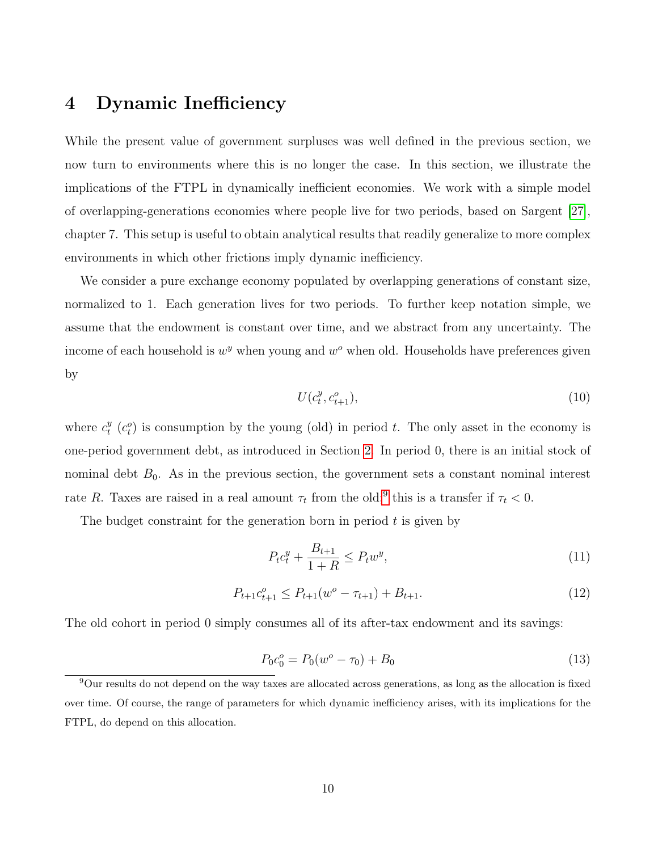### <span id="page-10-0"></span>4 Dynamic Inefficiency

While the present value of government surpluses was well defined in the previous section, we now turn to environments where this is no longer the case. In this section, we illustrate the implications of the FTPL in dynamically inefficient economies. We work with a simple model of overlapping-generations economies where people live for two periods, based on Sargent [\[27\]](#page-26-2), chapter 7. This setup is useful to obtain analytical results that readily generalize to more complex environments in which other frictions imply dynamic inefficiency.

We consider a pure exchange economy populated by overlapping generations of constant size, normalized to 1. Each generation lives for two periods. To further keep notation simple, we assume that the endowment is constant over time, and we abstract from any uncertainty. The income of each household is  $w^y$  when young and  $w^o$  when old. Households have preferences given by

<span id="page-10-2"></span>
$$
U(c_t^y, c_{t+1}^o),\tag{10}
$$

where  $c_t^y$  $t^y_t$  ( $c_t^o$ ) is consumption by the young (old) in period t. The only asset in the economy is one-period government debt, as introduced in Section [2.](#page-5-0) In period 0, there is an initial stock of nominal debt  $B_0$ . As in the previous section, the government sets a constant nominal interest rate R. Taxes are raised in a real amount  $\tau_t$  from the old;<sup>[9](#page-10-1)</sup> this is a transfer if  $\tau_t < 0$ .

The budget constraint for the generation born in period  $t$  is given by

<span id="page-10-3"></span>
$$
P_t c_t^y + \frac{B_{t+1}}{1+R} \le P_t w^y,\tag{11}
$$

<span id="page-10-4"></span>
$$
P_{t+1}c_{t+1}^o \le P_{t+1}(w^o - \tau_{t+1}) + B_{t+1}.\tag{12}
$$

The old cohort in period 0 simply consumes all of its after-tax endowment and its savings:

$$
P_0 c_0^o = P_0 (w^o - \tau_0) + B_0 \tag{13}
$$

<span id="page-10-1"></span><sup>9</sup>Our results do not depend on the way taxes are allocated across generations, as long as the allocation is fixed over time. Of course, the range of parameters for which dynamic inefficiency arises, with its implications for the FTPL, do depend on this allocation.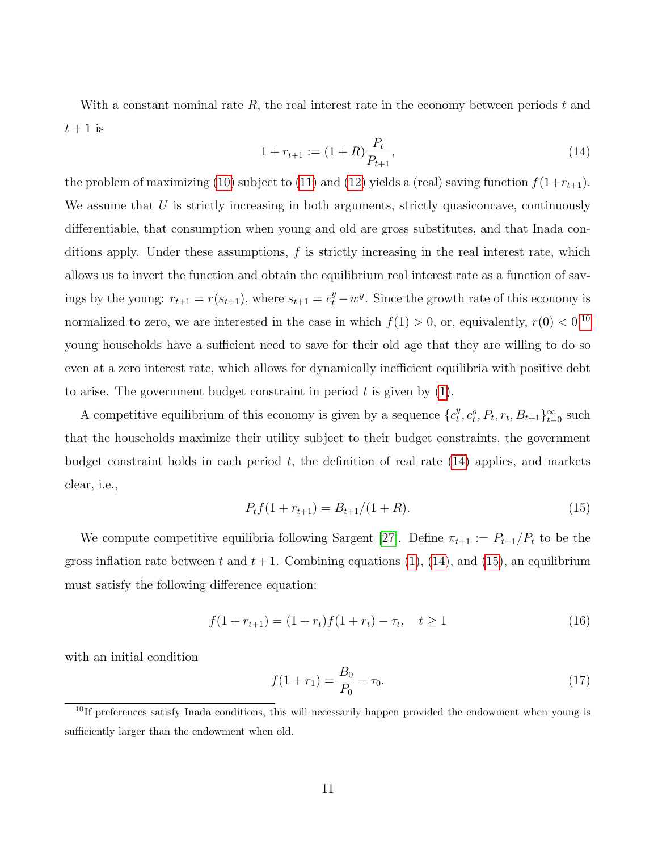With a constant nominal rate  $R$ , the real interest rate in the economy between periods  $t$  and  $t+1$  is

<span id="page-11-1"></span>
$$
1 + r_{t+1} := (1+R)\frac{P_t}{P_{t+1}},\tag{14}
$$

the problem of maximizing [\(10\)](#page-10-2) subject to [\(11\)](#page-10-3) and [\(12\)](#page-10-4) yields a (real) saving function  $f(1+r_{t+1})$ . We assume that  $U$  is strictly increasing in both arguments, strictly quasiconcave, continuously differentiable, that consumption when young and old are gross substitutes, and that Inada conditions apply. Under these assumptions,  $f$  is strictly increasing in the real interest rate, which allows us to invert the function and obtain the equilibrium real interest rate as a function of savings by the young:  $r_{t+1} = r(s_{t+1})$ , where  $s_{t+1} = c_t^y - w^y$ . Since the growth rate of this economy is normalized to zero, we are interested in the case in which  $f(1) > 0$ , or, equivalently,  $r(0) < 0$ <sup>[10](#page-11-0)</sup> young households have a sufficient need to save for their old age that they are willing to do so even at a zero interest rate, which allows for dynamically inefficient equilibria with positive debt to arise. The government budget constraint in period  $t$  is given by  $(1)$ .

A competitive equilibrium of this economy is given by a sequence  $\{c_t^y\}$  $_t^y, c_t^o, P_t, r_t, B_{t+1} \}_{t=0}^{\infty}$  such that the households maximize their utility subject to their budget constraints, the government budget constraint holds in each period  $t$ , the definition of real rate  $(14)$  applies, and markets clear, i.e.,

<span id="page-11-2"></span>
$$
P_t f(1 + r_{t+1}) = B_{t+1}/(1 + R). \tag{15}
$$

We compute competitive equilibria following Sargent [\[27\]](#page-26-2). Define  $\pi_{t+1} := P_{t+1}/P_t$  to be the gross inflation rate between t and  $t + 1$ . Combining equations [\(1\)](#page-5-1), [\(14\)](#page-11-1), and [\(15\)](#page-11-2), an equilibrium must satisfy the following difference equation:

<span id="page-11-3"></span>
$$
f(1 + r_{t+1}) = (1 + r_t)f(1 + r_t) - \tau_t, \quad t \ge 1
$$
\n(16)

with an initial condition

<span id="page-11-4"></span>
$$
f(1+r_1) = \frac{B_0}{P_0} - \tau_0. \tag{17}
$$

<span id="page-11-0"></span><sup>&</sup>lt;sup>10</sup>If preferences satisfy Inada conditions, this will necessarily happen provided the endowment when young is sufficiently larger than the endowment when old.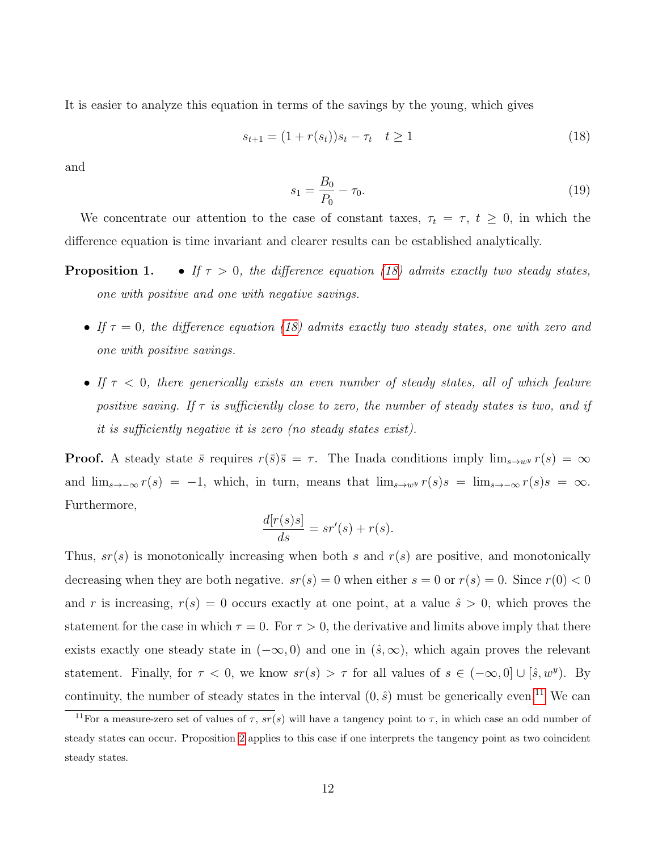It is easier to analyze this equation in terms of the savings by the young, which gives

<span id="page-12-0"></span>
$$
s_{t+1} = (1 + r(s_t))s_t - \tau_t \quad t \ge 1
$$
\n<sup>(18)</sup>

and

<span id="page-12-2"></span>
$$
s_1 = \frac{B_0}{P_0} - \tau_0. \tag{19}
$$

We concentrate our attention to the case of constant taxes,  $\tau_t = \tau$ ,  $t \geq 0$ , in which the difference equation is time invariant and clearer results can be established analytically.

- **Proposition 1.** If  $\tau > 0$ , the difference equation [\(18\)](#page-12-0) admits exactly two steady states, one with positive and one with negative savings.
	- If  $\tau = 0$ , the difference equation [\(18\)](#page-12-0) admits exactly two steady states, one with zero and one with positive savings.
	- If  $\tau$  < 0, there generically exists an even number of steady states, all of which feature positive saving. If  $\tau$  is sufficiently close to zero, the number of steady states is two, and if it is sufficiently negative it is zero (no steady states exist).

**Proof.** A steady state  $\bar{s}$  requires  $r(\bar{s})\bar{s} = \tau$ . The Inada conditions imply  $\lim_{s\to w} r(s) = \infty$ and  $\lim_{s\to-\infty} r(s) = -1$ , which, in turn, means that  $\lim_{s\to w} r(s)s = \lim_{s\to-\infty} r(s)s = \infty$ . Furthermore,

$$
\frac{d[r(s)s]}{ds} = sr'(s) + r(s).
$$

Thus,  $sr(s)$  is monotonically increasing when both s and  $r(s)$  are positive, and monotonically decreasing when they are both negative.  $sr(s) = 0$  when either  $s = 0$  or  $r(s) = 0$ . Since  $r(0) < 0$ and r is increasing,  $r(s) = 0$  occurs exactly at one point, at a value  $\hat{s} > 0$ , which proves the statement for the case in which  $\tau = 0$ . For  $\tau > 0$ , the derivative and limits above imply that there exists exactly one steady state in  $(-\infty, 0)$  and one in  $(\hat{s}, \infty)$ , which again proves the relevant statement. Finally, for  $\tau < 0$ , we know  $sr(s) > \tau$  for all values of  $s \in (-\infty, 0] \cup [\hat{s}, w^y)$ . By continuity, the number of steady states in the interval  $(0, \hat{s})$  must be generically even.<sup>[11](#page-12-1)</sup> We can

<span id="page-12-1"></span><sup>&</sup>lt;sup>11</sup>For a measure-zero set of values of  $\tau$ ,  $sr(s)$  will have a tangency point to  $\tau$ , in which case an odd number of steady states can occur. Proposition [2](#page--1-0) applies to this case if one interprets the tangency point as two coincident steady states.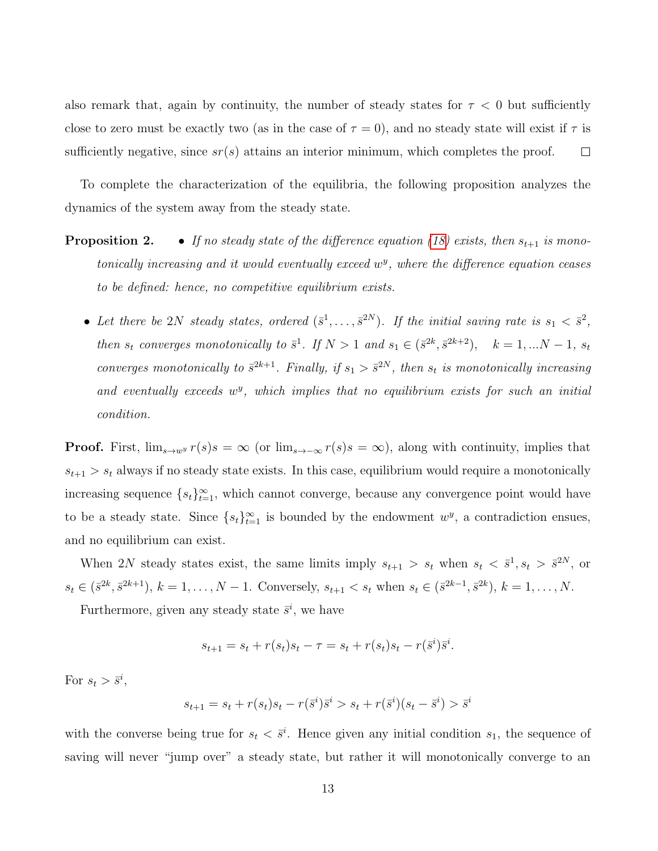also remark that, again by continuity, the number of steady states for  $\tau < 0$  but sufficiently close to zero must be exactly two (as in the case of  $\tau = 0$ ), and no steady state will exist if  $\tau$  is sufficiently negative, since  $sr(s)$  attains an interior minimum, which completes the proof.  $\Box$ 

To complete the characterization of the equilibria, the following proposition analyzes the dynamics of the system away from the steady state.

- **Proposition 2.** If no steady state of the difference equation [\(18\)](#page-12-0) exists, then  $s_{t+1}$  is monotonically increasing and it would eventually exceed  $w<sup>y</sup>$ , where the difference equation ceases to be defined: hence, no competitive equilibrium exists.
	- Let there be 2N steady states, ordered  $(\bar{s}^1, \ldots, \bar{s}^{2N})$ . If the initial saving rate is  $s_1 < \bar{s}^2$ , then  $s_t$  converges monotonically to  $\bar{s}^1$ . If  $N > 1$  and  $s_1 \in (\bar{s}^{2k}, \bar{s}^{2k+2}), \quad k = 1, ...N - 1, s_t$ converges monotonically to  $\bar{s}^{2k+1}$ . Finally, if  $s_1 > \bar{s}^{2N}$ , then  $s_t$  is monotonically increasing and eventually exceeds  $w^y$ , which implies that no equilibrium exists for such an initial condition.

**Proof.** First,  $\lim_{s\to w^y} r(s)s = \infty$  (or  $\lim_{s\to-\infty} r(s)s = \infty$ ), along with continuity, implies that  $s_{t+1} > s_t$  always if no steady state exists. In this case, equilibrium would require a monotonically increasing sequence  $\{s_t\}_{t=1}^{\infty}$ , which cannot converge, because any convergence point would have to be a steady state. Since  $\{s_t\}_{t=1}^{\infty}$  is bounded by the endowment  $w^y$ , a contradiction ensues, and no equilibrium can exist.

When 2N steady states exist, the same limits imply  $s_{t+1} > s_t$  when  $s_t < \bar{s}^1, s_t > \bar{s}^{2N}$ , or  $s_t \in (\bar{s}^{2k}, \bar{s}^{2k+1}), k = 1, \ldots, N-1$ . Conversely,  $s_{t+1} < s_t$  when  $s_t \in (\bar{s}^{2k-1}, \bar{s}^{2k}), k = 1, \ldots, N$ .

Furthermore, given any steady state  $\bar{s}^i$ , we have

$$
s_{t+1} = s_t + r(s_t)s_t - \tau = s_t + r(s_t)s_t - r(\bar{s}^i)\bar{s}^i.
$$

For  $s_t > \bar{s}^i$ ,

$$
s_{t+1} = s_t + r(s_t)s_t - r(\bar{s}^i)\bar{s}^i > s_t + r(\bar{s}^i)(s_t - \bar{s}^i) > \bar{s}^i
$$

with the converse being true for  $s_t < \bar{s}^i$ . Hence given any initial condition  $s_1$ , the sequence of saving will never "jump over" a steady state, but rather it will monotonically converge to an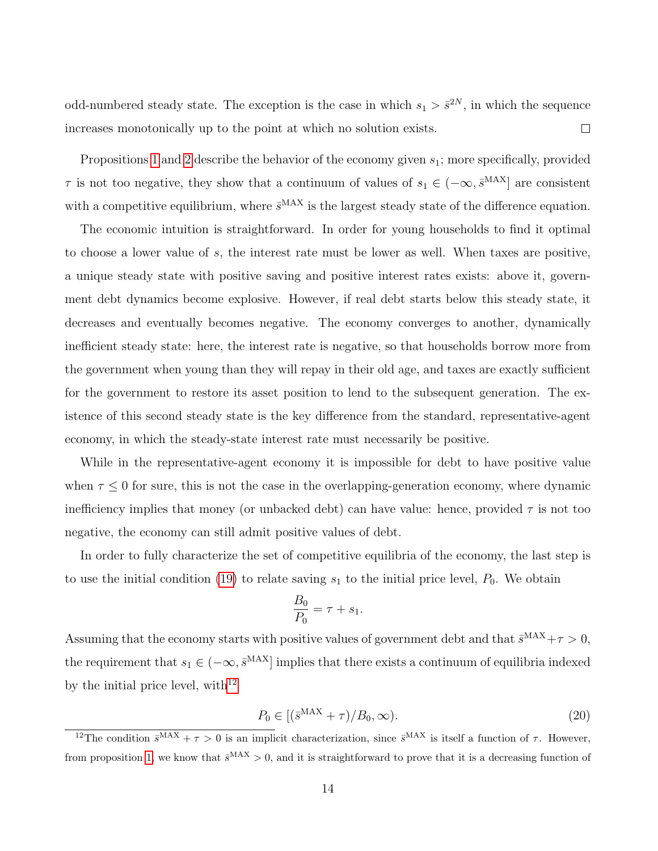odd-numbered steady state. The exception is the case in which  $s_1 > \bar{s}^{2N}$ , in which the sequence increases monotonically up to the point at which no solution exists.  $\Box$ 

Propositions [1](#page--1-0) and [2](#page--1-0) describe the behavior of the economy given  $s<sub>1</sub>$ ; more specifically, provided  $\tau$  is not too negative, they show that a continuum of values of  $s_1 \in (-\infty, \bar{s}^{MAX}]$  are consistent with a competitive equilibrium, where  $\bar{s}^{\text{MAX}}$  is the largest steady state of the difference equation.

The economic intuition is straightforward. In order for young households to find it optimal to choose a lower value of s, the interest rate must be lower as well. When taxes are positive, a unique steady state with positive saving and positive interest rates exists: above it, government debt dynamics become explosive. However, if real debt starts below this steady state, it decreases and eventually becomes negative. The economy converges to another, dynamically inefficient steady state: here, the interest rate is negative, so that households borrow more from the government when young than they will repay in their old age, and taxes are exactly sufficient for the government to restore its asset position to lend to the subsequent generation. The existence of this second steady state is the key difference from the standard, representative-agent economy, in which the steady-state interest rate must necessarily be positive.

While in the representative-agent economy it is impossible for debt to have positive value when  $\tau \leq 0$  for sure, this is not the case in the overlapping-generation economy, where dynamic inefficiency implies that money (or unbacked debt) can have value: hence, provided  $\tau$  is not too negative, the economy can still admit positive values of debt.

In order to fully characterize the set of competitive equilibria of the economy, the last step is to use the initial condition [\(19\)](#page-12-2) to relate saving  $s_1$  to the initial price level,  $P_0$ . We obtain

$$
\frac{B_0}{P_0} = \tau + s_1.
$$

Assuming that the economy starts with positive values of government debt and that  $\bar{s}^{MAX} + \tau > 0$ , the requirement that  $s_1 \in (-\infty, \bar{s}^{MAX}]$  implies that there exists a continuum of equilibria indexed by the initial price level, with $12$ 

<span id="page-14-1"></span>
$$
P_0 \in \left[ \left( \bar{s}^{\text{MAX}} + \tau \right) / B_0, \infty \right). \tag{20}
$$

<span id="page-14-0"></span><sup>&</sup>lt;sup>12</sup>The condition  $\bar{s}^{MAX} + \tau > 0$  is an implicit characterization, since  $\bar{s}^{MAX}$  is itself a function of  $\tau$ . However, from proposition [1,](#page--1-0) we know that  $\bar{s}^{MAX} > 0$ , and it is straightforward to prove that it is a decreasing function of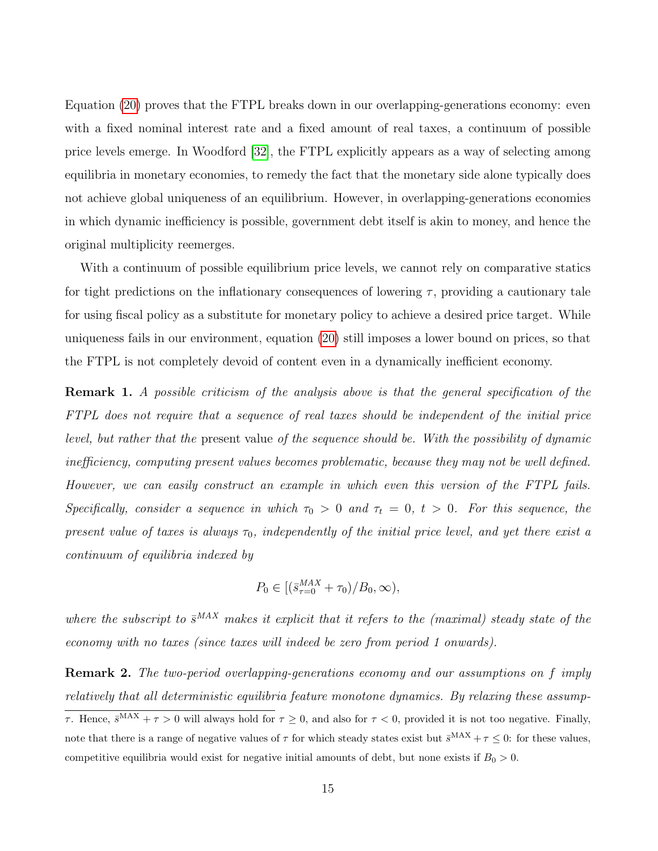Equation [\(20\)](#page-14-1) proves that the FTPL breaks down in our overlapping-generations economy: even with a fixed nominal interest rate and a fixed amount of real taxes, a continuum of possible price levels emerge. In Woodford [\[32\]](#page-27-0), the FTPL explicitly appears as a way of selecting among equilibria in monetary economies, to remedy the fact that the monetary side alone typically does not achieve global uniqueness of an equilibrium. However, in overlapping-generations economies in which dynamic inefficiency is possible, government debt itself is akin to money, and hence the original multiplicity reemerges.

With a continuum of possible equilibrium price levels, we cannot rely on comparative statics for tight predictions on the inflationary consequences of lowering  $\tau$ , providing a cautionary tale for using fiscal policy as a substitute for monetary policy to achieve a desired price target. While uniqueness fails in our environment, equation [\(20\)](#page-14-1) still imposes a lower bound on prices, so that the FTPL is not completely devoid of content even in a dynamically inefficient economy.

<span id="page-15-0"></span>Remark 1. A possible criticism of the analysis above is that the general specification of the FTPL does not require that a sequence of real taxes should be independent of the initial price level, but rather that the present value of the sequence should be. With the possibility of dynamic inefficiency, computing present values becomes problematic, because they may not be well defined. However, we can easily construct an example in which even this version of the FTPL fails. Specifically, consider a sequence in which  $\tau_0 > 0$  and  $\tau_t = 0$ ,  $t > 0$ . For this sequence, the present value of taxes is always  $\tau_0$ , independently of the initial price level, and yet there exist a continuum of equilibria indexed by

$$
P_0 \in [(\bar{s}_{\tau=0}^{MAX} + \tau_0)/B_0, \infty),
$$

where the subscript to  $\bar{s}^{MAX}$  makes it explicit that it refers to the (maximal) steady state of the economy with no taxes (since taxes will indeed be zero from period 1 onwards).

<span id="page-15-1"></span>Remark 2. The two-period overlapping-generations economy and our assumptions on f imply relatively that all deterministic equilibria feature monotone dynamics. By relaxing these assump-

τ. Hence,  $\bar{s}^{MAX} + \tau > 0$  will always hold for  $\tau \geq 0$ , and also for  $\tau < 0$ , provided it is not too negative. Finally, note that there is a range of negative values of  $\tau$  for which steady states exist but  $\bar{s}^{MAX} + \tau \leq 0$ : for these values, competitive equilibria would exist for negative initial amounts of debt, but none exists if  $B_0 > 0$ .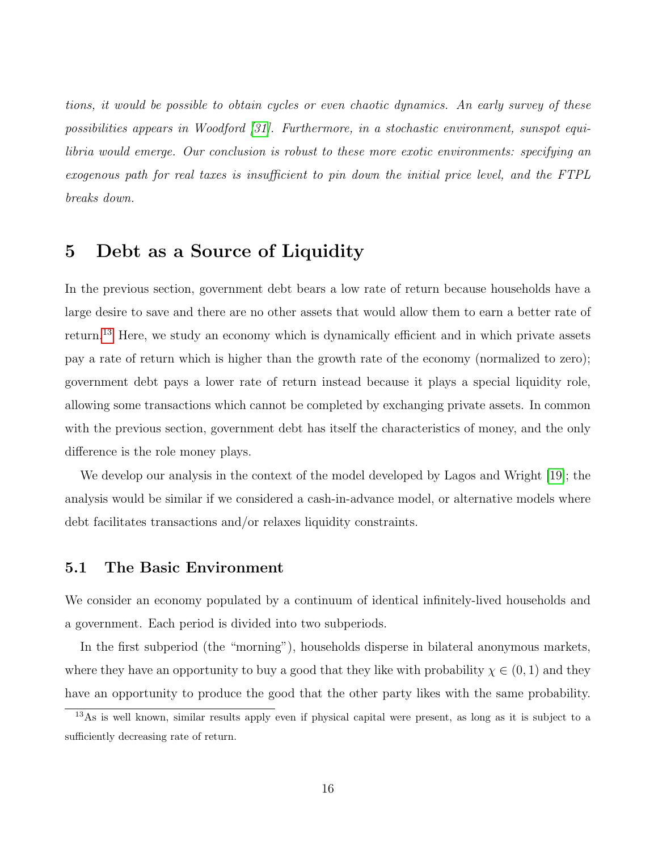tions, it would be possible to obtain cycles or even chaotic dynamics. An early survey of these possibilities appears in Woodford [\[31\]](#page-27-3). Furthermore, in a stochastic environment, sunspot equilibria would emerge. Our conclusion is robust to these more exotic environments: specifying an exogenous path for real taxes is insufficient to pin down the initial price level, and the FTPL breaks down.

### <span id="page-16-0"></span>5 Debt as a Source of Liquidity

In the previous section, government debt bears a low rate of return because households have a large desire to save and there are no other assets that would allow them to earn a better rate of return.[13](#page-16-1) Here, we study an economy which is dynamically efficient and in which private assets pay a rate of return which is higher than the growth rate of the economy (normalized to zero); government debt pays a lower rate of return instead because it plays a special liquidity role, allowing some transactions which cannot be completed by exchanging private assets. In common with the previous section, government debt has itself the characteristics of money, and the only difference is the role money plays.

We develop our analysis in the context of the model developed by Lagos and Wright [\[19\]](#page-25-7); the analysis would be similar if we considered a cash-in-advance model, or alternative models where debt facilitates transactions and/or relaxes liquidity constraints.

#### 5.1 The Basic Environment

We consider an economy populated by a continuum of identical infinitely-lived households and a government. Each period is divided into two subperiods.

In the first subperiod (the "morning"), households disperse in bilateral anonymous markets, where they have an opportunity to buy a good that they like with probability  $\chi \in (0,1)$  and they have an opportunity to produce the good that the other party likes with the same probability.

<span id="page-16-1"></span><sup>13</sup>As is well known, similar results apply even if physical capital were present, as long as it is subject to a sufficiently decreasing rate of return.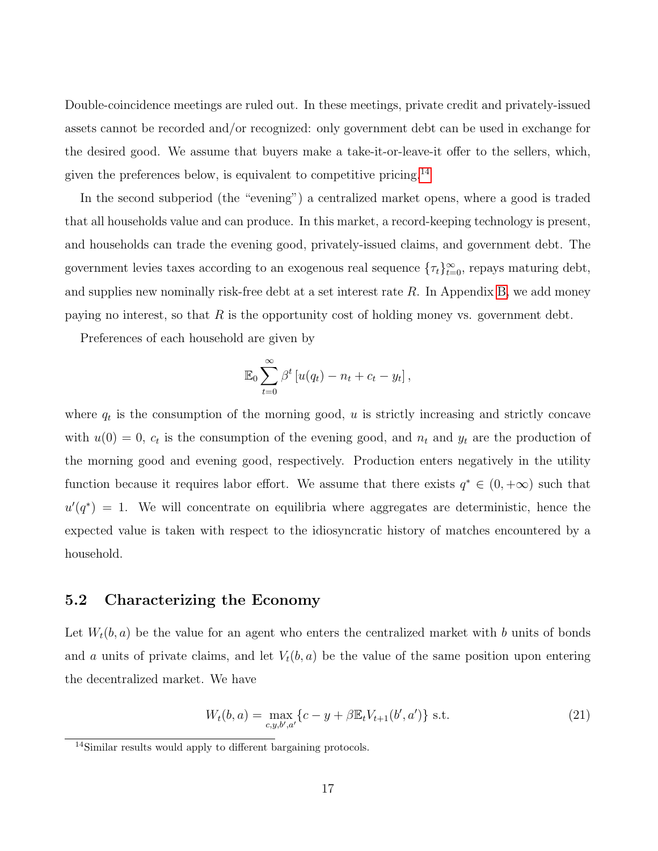Double-coincidence meetings are ruled out. In these meetings, private credit and privately-issued assets cannot be recorded and/or recognized: only government debt can be used in exchange for the desired good. We assume that buyers make a take-it-or-leave-it offer to the sellers, which, given the preferences below, is equivalent to competitive pricing.<sup>[14](#page-17-0)</sup>

In the second subperiod (the "evening") a centralized market opens, where a good is traded that all households value and can produce. In this market, a record-keeping technology is present, and households can trade the evening good, privately-issued claims, and government debt. The government levies taxes according to an exogenous real sequence  $\{\tau_t\}_{t=0}^{\infty}$ , repays maturing debt, and supplies new nominally risk-free debt at a set interest rate R. In Appendix [B,](#page-30-0) we add money paying no interest, so that  $R$  is the opportunity cost of holding money vs. government debt.

Preferences of each household are given by

$$
\mathbb{E}_0 \sum_{t=0}^{\infty} \beta^t \left[ u(q_t) - n_t + c_t - y_t \right],
$$

where  $q_t$  is the consumption of the morning good, u is strictly increasing and strictly concave with  $u(0) = 0$ ,  $c_t$  is the consumption of the evening good, and  $n_t$  and  $y_t$  are the production of the morning good and evening good, respectively. Production enters negatively in the utility function because it requires labor effort. We assume that there exists  $q^* \in (0, +\infty)$  such that  $u'(q^*) = 1$ . We will concentrate on equilibria where aggregates are deterministic, hence the expected value is taken with respect to the idiosyncratic history of matches encountered by a household.

#### 5.2 Characterizing the Economy

Let  $W_t(b, a)$  be the value for an agent who enters the centralized market with b units of bonds and a units of private claims, and let  $V_t(b, a)$  be the value of the same position upon entering the decentralized market. We have

<span id="page-17-1"></span>
$$
W_t(b, a) = \max_{c, y, b', a'} \{c - y + \beta \mathbb{E}_t V_{t+1}(b', a')\} \text{ s.t. } (21)
$$

<span id="page-17-0"></span><sup>14</sup>Similar results would apply to different bargaining protocols.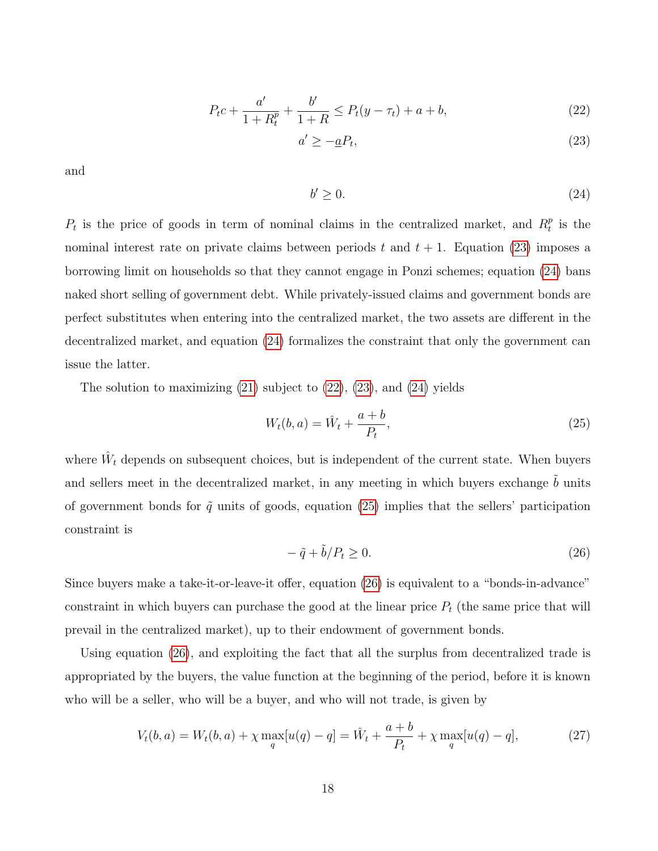<span id="page-18-2"></span>
$$
P_t c + \frac{a'}{1 + R_t^p} + \frac{b'}{1 + R} \le P_t (y - \tau_t) + a + b,\tag{22}
$$

<span id="page-18-0"></span>
$$
a' \ge -\underline{a}P_t,\tag{23}
$$

and

<span id="page-18-1"></span>
$$
b' \ge 0. \tag{24}
$$

 $P_t$  is the price of goods in term of nominal claims in the centralized market, and  $R_t^p$  $_t^p$  is the nominal interest rate on private claims between periods t and  $t + 1$ . Equation [\(23\)](#page-18-0) imposes a borrowing limit on households so that they cannot engage in Ponzi schemes; equation [\(24\)](#page-18-1) bans naked short selling of government debt. While privately-issued claims and government bonds are perfect substitutes when entering into the centralized market, the two assets are different in the decentralized market, and equation [\(24\)](#page-18-1) formalizes the constraint that only the government can issue the latter.

The solution to maximizing [\(21\)](#page-17-1) subject to [\(22\)](#page-18-2), [\(23\)](#page-18-0), and [\(24\)](#page-18-1) yields

<span id="page-18-3"></span>
$$
W_t(b, a) = \hat{W}_t + \frac{a+b}{P_t},\tag{25}
$$

where  $\hat{W}_t$  depends on subsequent choices, but is independent of the current state. When buyers and sellers meet in the decentralized market, in any meeting in which buyers exchange  $\ddot{b}$  units of government bonds for  $\tilde{q}$  units of goods, equation [\(25\)](#page-18-3) implies that the sellers' participation constraint is

<span id="page-18-4"></span>
$$
-\tilde{q} + \tilde{b}/P_t \ge 0. \tag{26}
$$

Since buyers make a take-it-or-leave-it offer, equation [\(26\)](#page-18-4) is equivalent to a "bonds-in-advance" constraint in which buyers can purchase the good at the linear price  $P_t$  (the same price that will prevail in the centralized market), up to their endowment of government bonds.

Using equation [\(26\)](#page-18-4), and exploiting the fact that all the surplus from decentralized trade is appropriated by the buyers, the value function at the beginning of the period, before it is known who will be a seller, who will be a buyer, and who will not trade, is given by

$$
V_t(b, a) = W_t(b, a) + \chi \max_q [u(q) - q] = \hat{W}_t + \frac{a+b}{P_t} + \chi \max_q [u(q) - q], \tag{27}
$$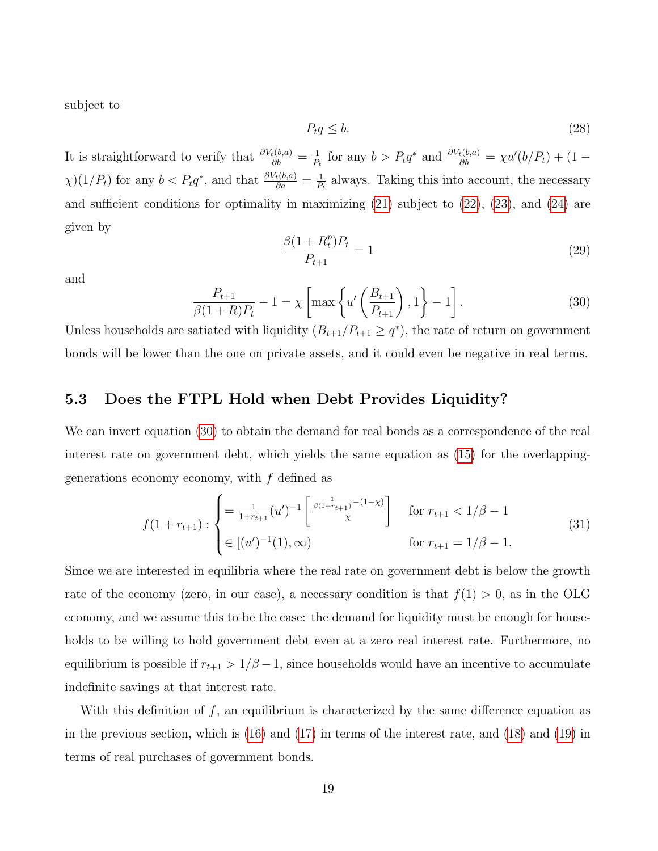subject to

$$
P_t q \leq b. \tag{28}
$$

It is straightforward to verify that  $\frac{\partial V_t(b,a)}{\partial b} = \frac{1}{P_t}$  $\frac{1}{P_t}$  for any  $b > P_t q^*$  and  $\frac{\partial V_t(b,a)}{\partial b} = \chi u'(b/P_t) + (1 \chi$ )(1/P<sub>t</sub>) for any  $b < P_t q^*$ , and that  $\frac{\partial V_t(b,a)}{\partial a} = \frac{1}{P_t}$  $\frac{1}{P_t}$  always. Taking this into account, the necessary and sufficient conditions for optimality in maximizing  $(21)$  subject to  $(22)$ ,  $(23)$ , and  $(24)$  are given by

<span id="page-19-1"></span>
$$
\frac{\beta(1+R_t^p)P_t}{P_{t+1}} = 1\tag{29}
$$

and

<span id="page-19-0"></span>
$$
\frac{P_{t+1}}{\beta(1+R)P_t} - 1 = \chi \left[ \max \left\{ u' \left( \frac{B_{t+1}}{P_{t+1}} \right), 1 \right\} - 1 \right].
$$
 (30)

Unless households are satiated with liquidity  $(B_{t+1}/P_{t+1} \geq q^*)$ , the rate of return on government bonds will be lower than the one on private assets, and it could even be negative in real terms.

#### 5.3 Does the FTPL Hold when Debt Provides Liquidity?

We can invert equation [\(30\)](#page-19-0) to obtain the demand for real bonds as a correspondence of the real interest rate on government debt, which yields the same equation as [\(15\)](#page-11-2) for the overlappinggenerations economy economy, with  $f$  defined as

$$
f(1+r_{t+1}): \begin{cases} = \frac{1}{1+r_{t+1}} (u')^{-1} \left[ \frac{\frac{1}{\beta(1+r_{t+1})} - (1-\chi)}{\chi} \right] & \text{for } r_{t+1} < 1/\beta - 1\\ \in [(u')^{-1}(1), \infty) & \text{for } r_{t+1} = 1/\beta - 1. \end{cases}
$$
(31)

Since we are interested in equilibria where the real rate on government debt is below the growth rate of the economy (zero, in our case), a necessary condition is that  $f(1) > 0$ , as in the OLG economy, and we assume this to be the case: the demand for liquidity must be enough for households to be willing to hold government debt even at a zero real interest rate. Furthermore, no equilibrium is possible if  $r_{t+1} > 1/\beta - 1$ , since households would have an incentive to accumulate indefinite savings at that interest rate.

With this definition of  $f$ , an equilibrium is characterized by the same difference equation as in the previous section, which is [\(16\)](#page-11-3) and [\(17\)](#page-11-4) in terms of the interest rate, and [\(18\)](#page-12-0) and [\(19\)](#page-12-2) in terms of real purchases of government bonds.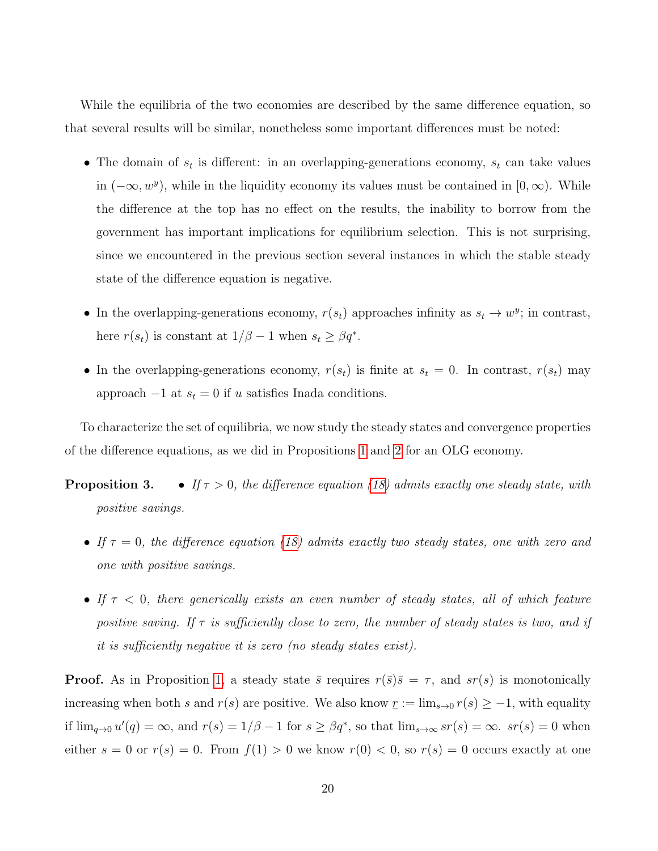While the equilibria of the two economies are described by the same difference equation, so that several results will be similar, nonetheless some important differences must be noted:

- The domain of  $s_t$  is different: in an overlapping-generations economy,  $s_t$  can take values in  $(-\infty, w^y)$ , while in the liquidity economy its values must be contained in  $[0, \infty)$ . While the difference at the top has no effect on the results, the inability to borrow from the government has important implications for equilibrium selection. This is not surprising, since we encountered in the previous section several instances in which the stable steady state of the difference equation is negative.
- In the overlapping-generations economy,  $r(s_t)$  approaches infinity as  $s_t \to w^y$ ; in contrast, here  $r(s_t)$  is constant at  $1/\beta - 1$  when  $s_t \geq \beta q^*$ .
- In the overlapping-generations economy,  $r(s_t)$  is finite at  $s_t = 0$ . In contrast,  $r(s_t)$  may approach  $-1$  at  $s_t = 0$  if u satisfies Inada conditions.

To characterize the set of equilibria, we now study the steady states and convergence properties of the difference equations, as we did in Propositions [1](#page--1-0) and [2](#page--1-0) for an OLG economy.

- **Proposition 3.** If  $\tau > 0$ , the difference equation [\(18\)](#page-12-0) admits exactly one steady state, with positive savings.
	- If  $\tau = 0$ , the difference equation [\(18\)](#page-12-0) admits exactly two steady states, one with zero and one with positive savings.
	- If  $\tau$  < 0, there generically exists an even number of steady states, all of which feature positive saving. If  $\tau$  is sufficiently close to zero, the number of steady states is two, and if it is sufficiently negative it is zero (no steady states exist).

**Proof.** As in Proposition [1,](#page--1-0) a steady state  $\bar{s}$  requires  $r(\bar{s})\bar{s} = \tau$ , and  $sr(s)$  is monotonically increasing when both s and  $r(s)$  are positive. We also know  $r := \lim_{s\to 0} r(s) \geq -1$ , with equality if  $\lim_{q\to 0} u'(q) = \infty$ , and  $r(s) = 1/\beta - 1$  for  $s \ge \beta q^*$ , so that  $\lim_{s\to\infty} s r(s) = \infty$ .  $sr(s) = 0$  when either  $s = 0$  or  $r(s) = 0$ . From  $f(1) > 0$  we know  $r(0) < 0$ , so  $r(s) = 0$  occurs exactly at one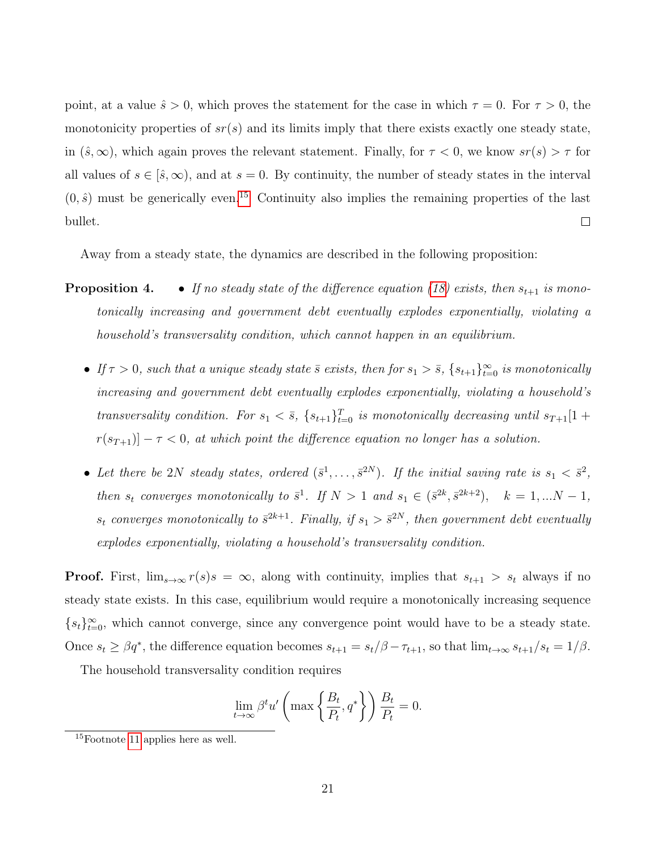point, at a value  $\hat{s} > 0$ , which proves the statement for the case in which  $\tau = 0$ . For  $\tau > 0$ , the monotonicity properties of  $sr(s)$  and its limits imply that there exists exactly one steady state, in  $(\hat{s}, \infty)$ , which again proves the relevant statement. Finally, for  $\tau < 0$ , we know  $sr(s) > \tau$  for all values of  $s \in [\hat{s}, \infty)$ , and at  $s = 0$ . By continuity, the number of steady states in the interval  $(0, \hat{s})$  must be generically even.<sup>[15](#page-21-0)</sup> Continuity also implies the remaining properties of the last bullet.  $\Box$ 

Away from a steady state, the dynamics are described in the following proposition:

- **Proposition 4.** If no steady state of the difference equation [\(18\)](#page-12-0) exists, then  $s_{t+1}$  is monotonically increasing and government debt eventually explodes exponentially, violating a household's transversality condition, which cannot happen in an equilibrium.
	- If  $\tau > 0$ , such that a unique steady state  $\bar{s}$  exists, then for  $s_1 > \bar{s}$ ,  $\{s_{t+1}\}_{t=0}^{\infty}$  is monotonically increasing and government debt eventually explodes exponentially, violating a household's transversality condition. For  $s_1 < \bar{s}$ ,  $\{s_{t+1}\}_{t=0}^T$  is monotonically decreasing until  $s_{T+1}[1 +$  $r(s_{T+1})$  –  $\tau$  < 0, at which point the difference equation no longer has a solution.
	- Let there be 2N steady states, ordered  $(\bar{s}^1, \ldots, \bar{s}^{2N})$ . If the initial saving rate is  $s_1 < \bar{s}^2$ , then  $s_t$  converges monotonically to  $\bar{s}^1$ . If  $N > 1$  and  $s_1 \in (\bar{s}^{2k}, \bar{s}^{2k+2}), \quad k = 1, ...N - 1$ ,  $s_t$  converges monotonically to  $\bar{s}^{2k+1}$ . Finally, if  $s_1 > \bar{s}^{2N}$ , then government debt eventually explodes exponentially, violating a household's transversality condition.

**Proof.** First,  $\lim_{s\to\infty} r(s)s = \infty$ , along with continuity, implies that  $s_{t+1} > s_t$  always if no steady state exists. In this case, equilibrium would require a monotonically increasing sequence  ${s_t}_{t=0}^{\infty}$ , which cannot converge, since any convergence point would have to be a steady state. Once  $s_t \ge \beta q^*$ , the difference equation becomes  $s_{t+1} = s_t/\beta - \tau_{t+1}$ , so that  $\lim_{t \to \infty} s_{t+1}/s_t = 1/\beta$ .

The household transversality condition requires

$$
\lim_{t \to \infty} \beta^t u' \left( \max \left\{ \frac{B_t}{P_t}, q^* \right\} \right) \frac{B_t}{P_t} = 0.
$$

<span id="page-21-0"></span> $15F<sub>0</sub>$  applies here as well.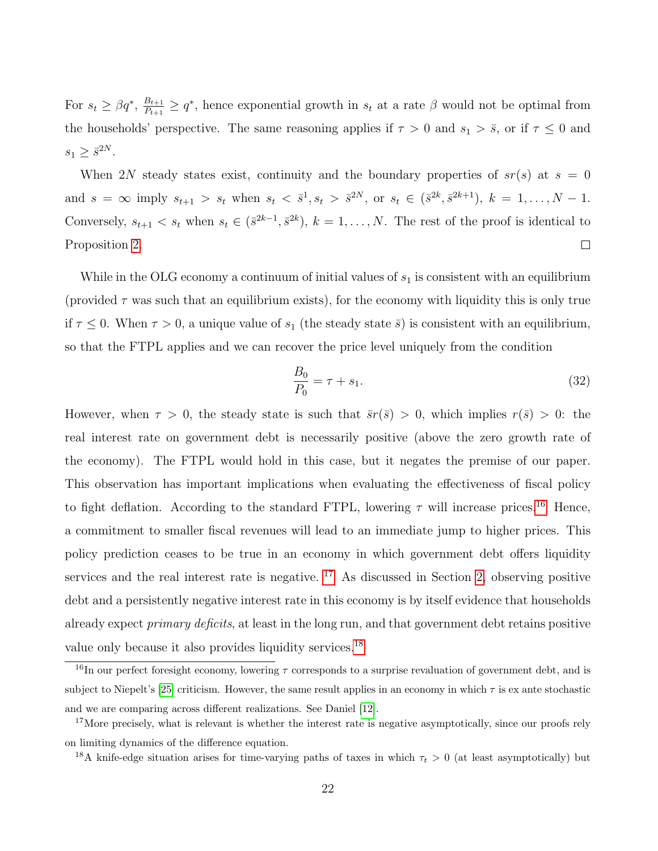For  $s_t \geq \beta q^*, \frac{B_{t+1}}{P_{t+1}}$  $\frac{B_{t+1}}{P_{t+1}} \geq q^*$ , hence exponential growth in  $s_t$  at a rate  $\beta$  would not be optimal from the households' perspective. The same reasoning applies if  $\tau > 0$  and  $s_1 > \bar{s}$ , or if  $\tau \leq 0$  and  $s_1 \geq \bar{s}^{2N}$ .

When 2N steady states exist, continuity and the boundary properties of  $sr(s)$  at  $s = 0$ and  $s = \infty$  imply  $s_{t+1} > s_t$  when  $s_t < \bar{s}^1, s_t > \bar{s}^{2N}$ , or  $s_t \in (\bar{s}^{2k}, \bar{s}^{2k+1}), k = 1, ..., N - 1$ . Conversely,  $s_{t+1} < s_t$  when  $s_t \in (\bar{s}^{2k-1}, \bar{s}^{2k}), k = 1, \ldots, N$ . The rest of the proof is identical to  $\Box$ Proposition [2.](#page--1-0)

While in the OLG economy a continuum of initial values of  $s_1$  is consistent with an equilibrium (provided  $\tau$  was such that an equilibrium exists), for the economy with liquidity this is only true if  $\tau \leq 0$ . When  $\tau > 0$ , a unique value of  $s_1$  (the steady state  $\bar{s}$ ) is consistent with an equilibrium, so that the FTPL applies and we can recover the price level uniquely from the condition

$$
\frac{B_0}{P_0} = \tau + s_1. \tag{32}
$$

However, when  $\tau > 0$ , the steady state is such that  $\bar{s}r(\bar{s}) > 0$ , which implies  $r(\bar{s}) > 0$ : the real interest rate on government debt is necessarily positive (above the zero growth rate of the economy). The FTPL would hold in this case, but it negates the premise of our paper. This observation has important implications when evaluating the effectiveness of fiscal policy to fight deflation. According to the standard FTPL, lowering  $\tau$  will increase prices.<sup>[16](#page-22-0)</sup> Hence, a commitment to smaller fiscal revenues will lead to an immediate jump to higher prices. This policy prediction ceases to be true in an economy in which government debt offers liquidity services and the real interest rate is negative.  $17$  As discussed in Section [2,](#page-5-0) observing positive debt and a persistently negative interest rate in this economy is by itself evidence that households already expect *primary deficits*, at least in the long run, and that government debt retains positive value only because it also provides liquidity services.[18](#page-22-2)

<span id="page-22-0"></span> $\frac{16}{16}$ In our perfect foresight economy, lowering  $\tau$  corresponds to a surprise revaluation of government debt, and is subject to Niepelt's [\[25\]](#page-26-4) criticism. However, the same result applies in an economy in which  $\tau$  is ex ante stochastic and we are comparing across different realizations. See Daniel [\[12\]](#page-25-8).

<span id="page-22-1"></span><sup>&</sup>lt;sup>17</sup>More precisely, what is relevant is whether the interest rate is negative asymptotically, since our proofs rely on limiting dynamics of the difference equation.

<span id="page-22-2"></span><sup>&</sup>lt;sup>18</sup>A knife-edge situation arises for time-varying paths of taxes in which  $\tau_t > 0$  (at least asymptotically) but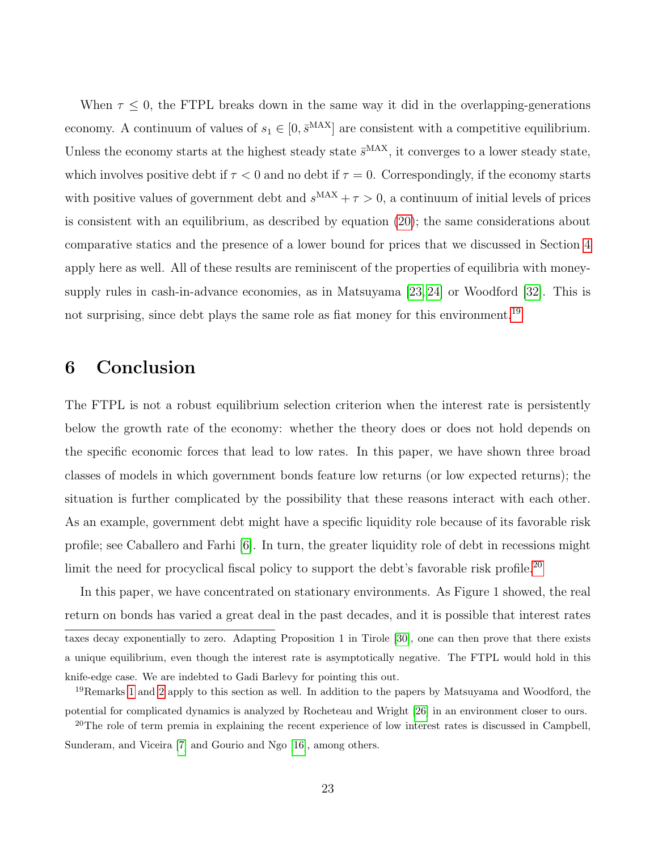When  $\tau \leq 0$ , the FTPL breaks down in the same way it did in the overlapping-generations economy. A continuum of values of  $s_1 \in [0, \bar{s}^{MAX}]$  are consistent with a competitive equilibrium. Unless the economy starts at the highest steady state  $\bar{s}^{\text{MAX}}$ , it converges to a lower steady state, which involves positive debt if  $\tau < 0$  and no debt if  $\tau = 0$ . Correspondingly, if the economy starts with positive values of government debt and  $s^{MAX} + \tau > 0$ , a continuum of initial levels of prices is consistent with an equilibrium, as described by equation [\(20\)](#page-14-1); the same considerations about comparative statics and the presence of a lower bound for prices that we discussed in Section [4](#page-10-0) apply here as well. All of these results are reminiscent of the properties of equilibria with moneysupply rules in cash-in-advance economies, as in Matsuyama [\[23,](#page-26-7) [24\]](#page-26-8) or Woodford [\[32\]](#page-27-0). This is not surprising, since debt plays the same role as fiat money for this environment.<sup>[19](#page-23-1)</sup>

### <span id="page-23-0"></span>6 Conclusion

The FTPL is not a robust equilibrium selection criterion when the interest rate is persistently below the growth rate of the economy: whether the theory does or does not hold depends on the specific economic forces that lead to low rates. In this paper, we have shown three broad classes of models in which government bonds feature low returns (or low expected returns); the situation is further complicated by the possibility that these reasons interact with each other. As an example, government debt might have a specific liquidity role because of its favorable risk profile; see Caballero and Farhi [\[6\]](#page-24-3). In turn, the greater liquidity role of debt in recessions might limit the need for procyclical fiscal policy to support the debt's favorable risk profile.<sup>[20](#page-23-2)</sup>

In this paper, we have concentrated on stationary environments. As Figure 1 showed, the real return on bonds has varied a great deal in the past decades, and it is possible that interest rates taxes decay exponentially to zero. Adapting Proposition 1 in Tirole [\[30\]](#page-26-9), one can then prove that there exists a unique equilibrium, even though the interest rate is asymptotically negative. The FTPL would hold in this knife-edge case. We are indebted to Gadi Barlevy for pointing this out.

<span id="page-23-1"></span><sup>&</sup>lt;sup>19</sup>Remarks [1](#page-15-0) and [2](#page-15-1) apply to this section as well. In addition to the papers by Matsuyama and Woodford, the potential for complicated dynamics is analyzed by Rocheteau and Wright [\[26\]](#page-26-10) in an environment closer to ours.

<span id="page-23-2"></span><sup>&</sup>lt;sup>20</sup>The role of term premia in explaining the recent experience of low interest rates is discussed in Campbell, Sunderam, and Viceira [\[7\]](#page-24-4) and Gourio and Ngo [\[16\]](#page-25-9), among others.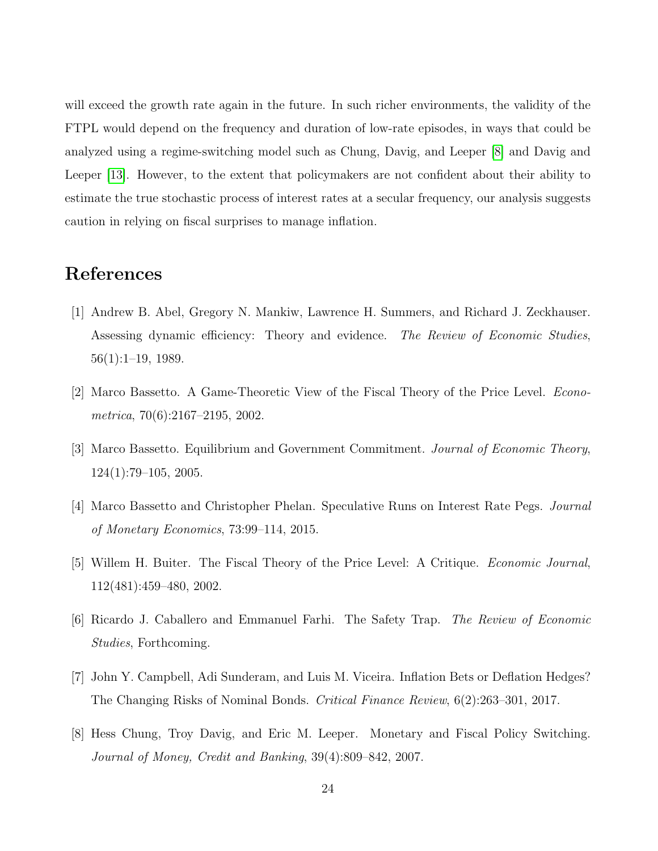will exceed the growth rate again in the future. In such richer environments, the validity of the FTPL would depend on the frequency and duration of low-rate episodes, in ways that could be analyzed using a regime-switching model such as Chung, Davig, and Leeper [\[8\]](#page-24-5) and Davig and Leeper [\[13\]](#page-25-10). However, to the extent that policymakers are not confident about their ability to estimate the true stochastic process of interest rates at a secular frequency, our analysis suggests caution in relying on fiscal surprises to manage inflation.

### References

- <span id="page-24-2"></span>[1] Andrew B. Abel, Gregory N. Mankiw, Lawrence H. Summers, and Richard J. Zeckhauser. Assessing dynamic efficiency: Theory and evidence. The Review of Economic Studies, 56(1):1–19, 1989.
- <span id="page-24-0"></span>[2] Marco Bassetto. A Game-Theoretic View of the Fiscal Theory of the Price Level. Econometrica, 70(6):2167–2195, 2002.
- <span id="page-24-7"></span>[3] Marco Bassetto. Equilibrium and Government Commitment. Journal of Economic Theory, 124(1):79–105, 2005.
- <span id="page-24-6"></span>[4] Marco Bassetto and Christopher Phelan. Speculative Runs on Interest Rate Pegs. Journal of Monetary Economics, 73:99–114, 2015.
- <span id="page-24-1"></span>[5] Willem H. Buiter. The Fiscal Theory of the Price Level: A Critique. Economic Journal, 112(481):459–480, 2002.
- <span id="page-24-3"></span>[6] Ricardo J. Caballero and Emmanuel Farhi. The Safety Trap. The Review of Economic Studies, Forthcoming.
- <span id="page-24-4"></span>[7] John Y. Campbell, Adi Sunderam, and Luis M. Viceira. Inflation Bets or Deflation Hedges? The Changing Risks of Nominal Bonds. Critical Finance Review, 6(2):263–301, 2017.
- <span id="page-24-5"></span>[8] Hess Chung, Troy Davig, and Eric M. Leeper. Monetary and Fiscal Policy Switching. Journal of Money, Credit and Banking, 39(4):809–842, 2007.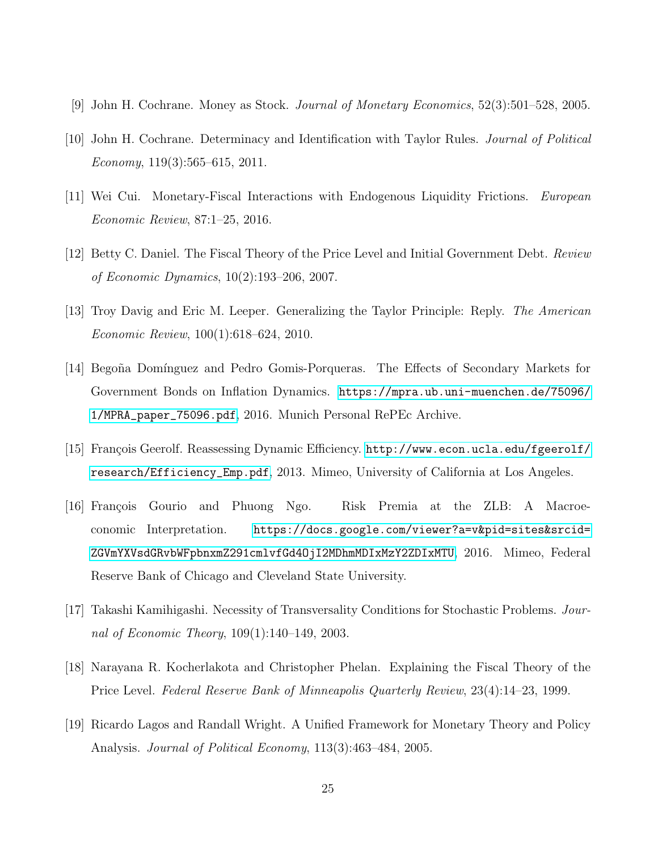- <span id="page-25-5"></span>[9] John H. Cochrane. Money as Stock. Journal of Monetary Economics, 52(3):501–528, 2005.
- <span id="page-25-0"></span>[10] John H. Cochrane. Determinacy and Identification with Taylor Rules. Journal of Political Economy,  $119(3):565-615$ ,  $2011$ .
- <span id="page-25-4"></span>[11] Wei Cui. Monetary-Fiscal Interactions with Endogenous Liquidity Frictions. European Economic Review, 87:1–25, 2016.
- <span id="page-25-8"></span>[12] Betty C. Daniel. The Fiscal Theory of the Price Level and Initial Government Debt. Review of Economic Dynamics, 10(2):193–206, 2007.
- <span id="page-25-10"></span>[13] Troy Davig and Eric M. Leeper. Generalizing the Taylor Principle: Reply. The American Economic Review, 100(1):618–624, 2010.
- <span id="page-25-3"></span>[14] Bego˜na Dom´ınguez and Pedro Gomis-Porqueras. The Effects of Secondary Markets for Government Bonds on Inflation Dynamics. [https://mpra.ub.uni-muenchen.de/75096/](https://mpra.ub.uni-muenchen.de/75096/1/MPRA_paper_75096.pdf) [1/MPRA\\_paper\\_75096.pdf](https://mpra.ub.uni-muenchen.de/75096/1/MPRA_paper_75096.pdf), 2016. Munich Personal RePEc Archive.
- <span id="page-25-2"></span>[15] François Geerolf. Reassessing Dynamic Efficiency. [http://www.econ.ucla.edu/fgeerolf/](http://www.econ.ucla.edu/fgeerolf/research/Efficiency_Emp.pdf) [research/Efficiency\\_Emp.pdf](http://www.econ.ucla.edu/fgeerolf/research/Efficiency_Emp.pdf), 2013. Mimeo, University of California at Los Angeles.
- <span id="page-25-9"></span>[16] François Gourio and Phuong Ngo. Risk Premia at the ZLB: A Macroeconomic Interpretation. [https://docs.google.com/viewer?a=v&pid=sites&srcid=](https://docs.google.com/viewer?a=v&pid=sites&srcid=ZGVmYXVsdGRvbWFpbnxmZ291cmlvfGd4OjI2MDhmMDIxMzY2ZDIxMTU) [ZGVmYXVsdGRvbWFpbnxmZ291cmlvfGd4OjI2MDhmMDIxMzY2ZDIxMTU](https://docs.google.com/viewer?a=v&pid=sites&srcid=ZGVmYXVsdGRvbWFpbnxmZ291cmlvfGd4OjI2MDhmMDIxMzY2ZDIxMTU), 2016. Mimeo, Federal Reserve Bank of Chicago and Cleveland State University.
- <span id="page-25-6"></span>[17] Takashi Kamihigashi. Necessity of Transversality Conditions for Stochastic Problems. Journal of Economic Theory, 109(1):140–149, 2003.
- <span id="page-25-1"></span>[18] Narayana R. Kocherlakota and Christopher Phelan. Explaining the Fiscal Theory of the Price Level. Federal Reserve Bank of Minneapolis Quarterly Review, 23(4):14–23, 1999.
- <span id="page-25-7"></span>[19] Ricardo Lagos and Randall Wright. A Unified Framework for Monetary Theory and Policy Analysis. Journal of Political Economy, 113(3):463–484, 2005.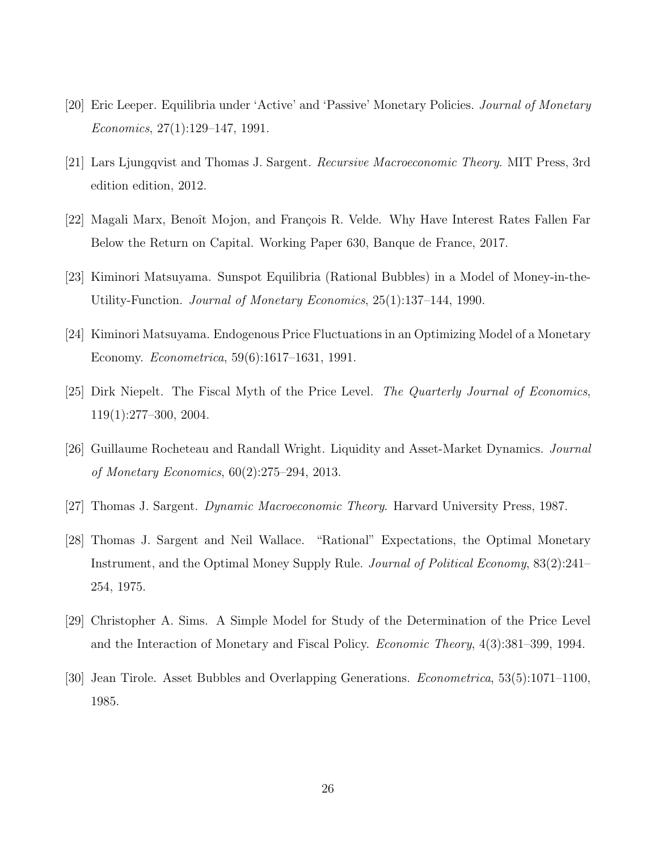- <span id="page-26-0"></span>[20] Eric Leeper. Equilibria under 'Active' and 'Passive' Monetary Policies. Journal of Monetary Economics, 27(1):129–147, 1991.
- <span id="page-26-3"></span>[21] Lars Ljungqvist and Thomas J. Sargent. Recursive Macroeconomic Theory. MIT Press, 3rd edition edition, 2012.
- <span id="page-26-6"></span>[22] Magali Marx, Benoît Mojon, and François R. Velde. Why Have Interest Rates Fallen Far Below the Return on Capital. Working Paper 630, Banque de France, 2017.
- <span id="page-26-7"></span>[23] Kiminori Matsuyama. Sunspot Equilibria (Rational Bubbles) in a Model of Money-in-the-Utility-Function. Journal of Monetary Economics, 25(1):137–144, 1990.
- <span id="page-26-8"></span>[24] Kiminori Matsuyama. Endogenous Price Fluctuations in an Optimizing Model of a Monetary Economy. Econometrica, 59(6):1617–1631, 1991.
- <span id="page-26-4"></span>[25] Dirk Niepelt. The Fiscal Myth of the Price Level. The Quarterly Journal of Economics, 119(1):277–300, 2004.
- <span id="page-26-10"></span>[26] Guillaume Rocheteau and Randall Wright. Liquidity and Asset-Market Dynamics. Journal of Monetary Economics, 60(2):275–294, 2013.
- <span id="page-26-2"></span>[27] Thomas J. Sargent. Dynamic Macroeconomic Theory. Harvard University Press, 1987.
- <span id="page-26-5"></span>[28] Thomas J. Sargent and Neil Wallace. "Rational" Expectations, the Optimal Monetary Instrument, and the Optimal Money Supply Rule. Journal of Political Economy, 83(2):241– 254, 1975.
- <span id="page-26-1"></span>[29] Christopher A. Sims. A Simple Model for Study of the Determination of the Price Level and the Interaction of Monetary and Fiscal Policy. Economic Theory, 4(3):381–399, 1994.
- <span id="page-26-9"></span>[30] Jean Tirole. Asset Bubbles and Overlapping Generations. Econometrica, 53(5):1071–1100, 1985.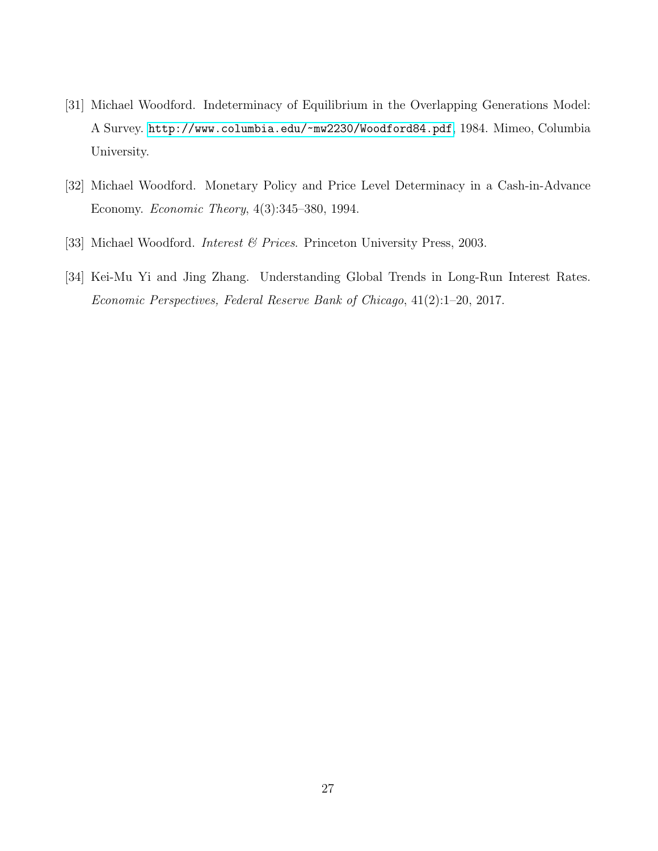- <span id="page-27-3"></span>[31] Michael Woodford. Indeterminacy of Equilibrium in the Overlapping Generations Model: A Survey. <http://www.columbia.edu/~mw2230/Woodford84.pdf>, 1984. Mimeo, Columbia University.
- <span id="page-27-0"></span>[32] Michael Woodford. Monetary Policy and Price Level Determinacy in a Cash-in-Advance Economy. Economic Theory, 4(3):345–380, 1994.
- <span id="page-27-1"></span>[33] Michael Woodford. *Interest & Prices*. Princeton University Press, 2003.
- <span id="page-27-2"></span>[34] Kei-Mu Yi and Jing Zhang. Understanding Global Trends in Long-Run Interest Rates. Economic Perspectives, Federal Reserve Bank of Chicago, 41(2):1–20, 2017.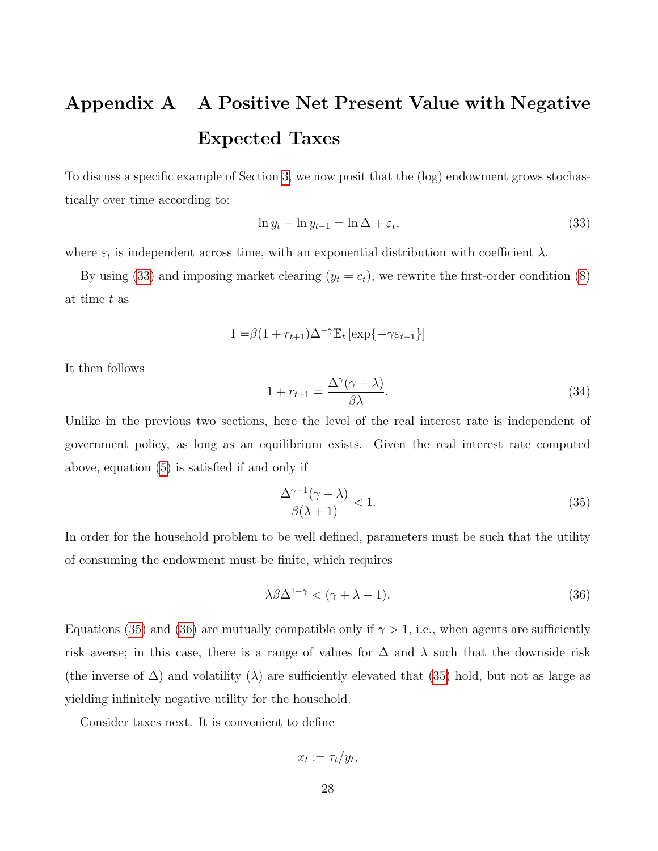# <span id="page-28-0"></span>Appendix A A Positive Net Present Value with Negative Expected Taxes

To discuss a specific example of Section [3,](#page-8-1) we now posit that the (log) endowment grows stochastically over time according to:

<span id="page-28-1"></span>
$$
\ln y_t - \ln y_{t-1} = \ln \Delta + \varepsilon_t,\tag{33}
$$

where  $\varepsilon_t$  is independent across time, with an exponential distribution with coefficient  $\lambda$ .

By using [\(33\)](#page-28-1) and imposing market clearing  $(y_t = c_t)$ , we rewrite the first-order condition [\(8\)](#page-9-2) at time t as

$$
1 = \beta(1 + r_{t+1})\Delta^{-\gamma} \mathbb{E}_t \left[ \exp\{-\gamma \varepsilon_{t+1}\} \right]
$$

It then follows

$$
1 + r_{t+1} = \frac{\Delta^{\gamma}(\gamma + \lambda)}{\beta \lambda}.
$$
\n(34)

Unlike in the previous two sections, here the level of the real interest rate is independent of government policy, as long as an equilibrium exists. Given the real interest rate computed above, equation [\(5\)](#page-7-1) is satisfied if and only if

<span id="page-28-2"></span>
$$
\frac{\Delta^{\gamma-1}(\gamma+\lambda)}{\beta(\lambda+1)} < 1. \tag{35}
$$

In order for the household problem to be well defined, parameters must be such that the utility of consuming the endowment must be finite, which requires

<span id="page-28-3"></span>
$$
\lambda \beta \Delta^{1-\gamma} < (\gamma + \lambda - 1). \tag{36}
$$

Equations [\(35\)](#page-28-2) and [\(36\)](#page-28-3) are mutually compatible only if  $\gamma > 1$ , i.e., when agents are sufficiently risk averse; in this case, there is a range of values for  $\Delta$  and  $\lambda$  such that the downside risk (the inverse of  $\Delta$ ) and volatility ( $\lambda$ ) are sufficiently elevated that [\(35\)](#page-28-2) hold, but not as large as yielding infinitely negative utility for the household.

Consider taxes next. It is convenient to define

$$
x_t := \tau_t/y_t,
$$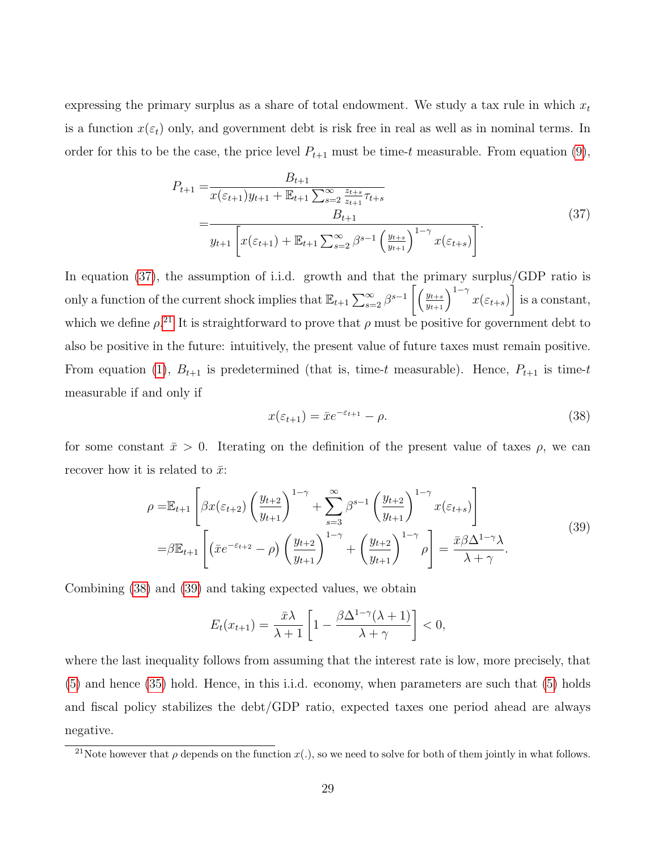expressing the primary surplus as a share of total endowment. We study a tax rule in which  $x_t$ is a function  $x(\varepsilon_t)$  only, and government debt is risk free in real as well as in nominal terms. In order for this to be the case, the price level  $P_{t+1}$  must be time-t measurable. From equation [\(9\)](#page-9-1),

$$
P_{t+1} = \frac{B_{t+1}}{x(\varepsilon_{t+1})y_{t+1} + \mathbb{E}_{t+1} \sum_{s=2}^{\infty} \frac{z_{t+s}}{z_{t+1}} \tau_{t+s}} - \frac{B_{t+1}}{y_{t+1} \left[ x(\varepsilon_{t+1}) + \mathbb{E}_{t+1} \sum_{s=2}^{\infty} \beta^{s-1} \left( \frac{y_{t+s}}{y_{t+1}} \right)^{1-\gamma} x(\varepsilon_{t+s}) \right]}.
$$
\n(37)

<span id="page-29-0"></span>In equation [\(37\)](#page-29-0), the assumption of i.i.d. growth and that the primary surplus/GDP ratio is only a function of the current shock implies that  $\mathbb{E}_{t+1} \sum_{s=2}^{\infty} \beta^{s-1} \left[ \left( \frac{y_{t+s}}{y_{t+1}} \right)^{1-\gamma} x(\varepsilon_{t+s}) \right]$ 1 is a constant, which we define  $\rho^{21}$  $\rho^{21}$  $\rho^{21}$ . It is straightforward to prove that  $\rho$  must be positive for government debt to also be positive in the future: intuitively, the present value of future taxes must remain positive. From equation [\(1\)](#page-5-1),  $B_{t+1}$  is predetermined (that is, time-t measurable). Hence,  $P_{t+1}$  is time-t measurable if and only if

<span id="page-29-2"></span>
$$
x(\varepsilon_{t+1}) = \bar{x}e^{-\varepsilon_{t+1}} - \rho.
$$
\n(38)

<span id="page-29-3"></span>for some constant  $\bar{x} > 0$ . Iterating on the definition of the present value of taxes  $\rho$ , we can recover how it is related to  $\bar{x}$ :

$$
\rho = \mathbb{E}_{t+1} \left[ \beta x(\varepsilon_{t+2}) \left( \frac{y_{t+2}}{y_{t+1}} \right)^{1-\gamma} + \sum_{s=3}^{\infty} \beta^{s-1} \left( \frac{y_{t+2}}{y_{t+1}} \right)^{1-\gamma} x(\varepsilon_{t+s}) \right]
$$
  
=  $\beta \mathbb{E}_{t+1} \left[ \left( \bar{x} e^{-\varepsilon_{t+2}} - \rho \right) \left( \frac{y_{t+2}}{y_{t+1}} \right)^{1-\gamma} + \left( \frac{y_{t+2}}{y_{t+1}} \right)^{1-\gamma} \rho \right] = \frac{\bar{x} \beta \Delta^{1-\gamma} \lambda}{\lambda + \gamma}.$  (39)

Combining [\(38\)](#page-29-2) and [\(39\)](#page-29-3) and taking expected values, we obtain

$$
E_t(x_{t+1}) = \frac{\bar{x}\lambda}{\lambda+1} \left[ 1 - \frac{\beta \Delta^{1-\gamma}(\lambda+1)}{\lambda+\gamma} \right] < 0,
$$

where the last inequality follows from assuming that the interest rate is low, more precisely, that [\(5\)](#page-7-1) and hence [\(35\)](#page-28-2) hold. Hence, in this i.i.d. economy, when parameters are such that [\(5\)](#page-7-1) holds and fiscal policy stabilizes the debt/GDP ratio, expected taxes one period ahead are always negative.

<span id="page-29-1"></span><sup>&</sup>lt;sup>21</sup>Note however that  $\rho$  depends on the function  $x(.)$ , so we need to solve for both of them jointly in what follows.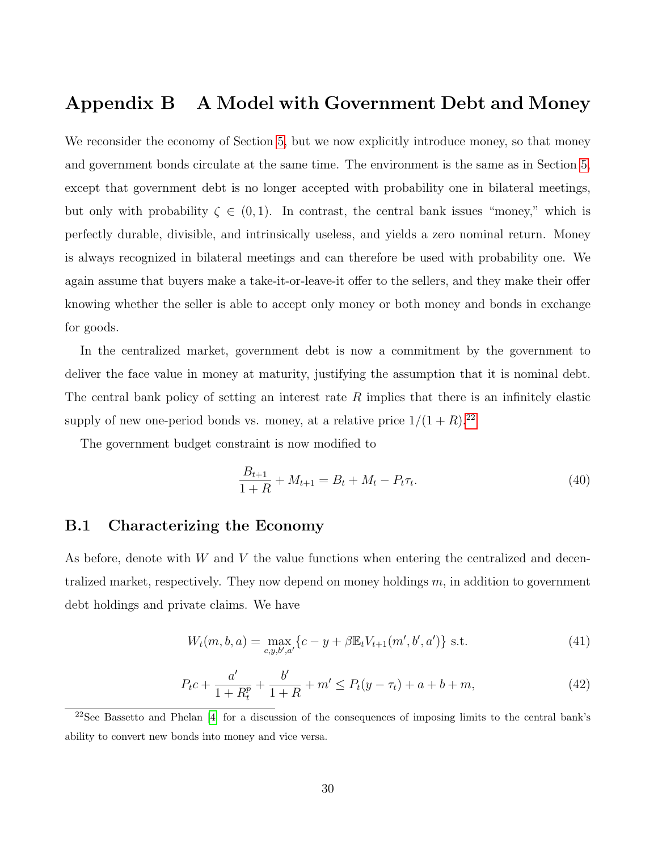### <span id="page-30-0"></span>Appendix B A Model with Government Debt and Money

We reconsider the economy of Section [5,](#page-16-0) but we now explicitly introduce money, so that money and government bonds circulate at the same time. The environment is the same as in Section [5,](#page-16-0) except that government debt is no longer accepted with probability one in bilateral meetings, but only with probability  $\zeta \in (0,1)$ . In contrast, the central bank issues "money," which is perfectly durable, divisible, and intrinsically useless, and yields a zero nominal return. Money is always recognized in bilateral meetings and can therefore be used with probability one. We again assume that buyers make a take-it-or-leave-it offer to the sellers, and they make their offer knowing whether the seller is able to accept only money or both money and bonds in exchange for goods.

In the centralized market, government debt is now a commitment by the government to deliver the face value in money at maturity, justifying the assumption that it is nominal debt. The central bank policy of setting an interest rate  $R$  implies that there is an infinitely elastic supply of new one-period bonds vs. money, at a relative price  $1/(1 + R)^{22}$  $1/(1 + R)^{22}$  $1/(1 + R)^{22}$ 

The government budget constraint is now modified to

<span id="page-30-4"></span>
$$
\frac{B_{t+1}}{1+R} + M_{t+1} = B_t + M_t - P_t \tau_t.
$$
\n(40)

#### B.1 Characterizing the Economy

As before, denote with  $W$  and  $V$  the value functions when entering the centralized and decentralized market, respectively. They now depend on money holdings  $m$ , in addition to government debt holdings and private claims. We have

<span id="page-30-2"></span>
$$
W_t(m, b, a) = \max_{c, y, b', a'} \{c - y + \beta \mathbb{E}_t V_{t+1}(m', b', a')\} \text{ s.t. } (41)
$$

<span id="page-30-3"></span>
$$
P_{t}c + \frac{a'}{1 + R_{t}^{p}} + \frac{b'}{1 + R} + m' \le P_{t}(y - \tau_{t}) + a + b + m,
$$
\n(42)

<span id="page-30-1"></span><sup>22</sup>See Bassetto and Phelan [\[4\]](#page-24-6) for a discussion of the consequences of imposing limits to the central bank's ability to convert new bonds into money and vice versa.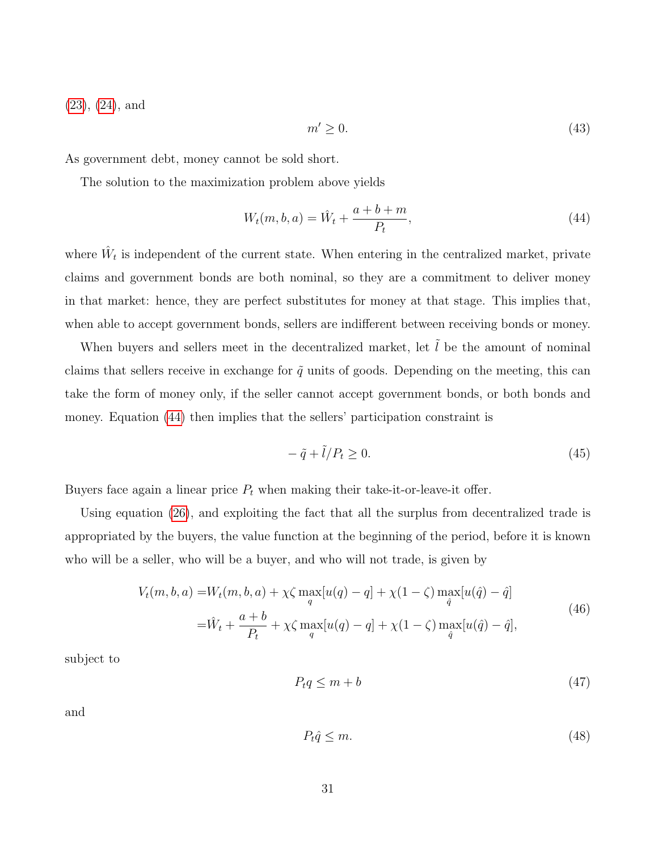[\(23\)](#page-18-0), [\(24\)](#page-18-1), and

<span id="page-31-1"></span>
$$
m' \ge 0. \tag{43}
$$

As government debt, money cannot be sold short.

The solution to the maximization problem above yields

<span id="page-31-0"></span>
$$
W_t(m, b, a) = \hat{W}_t + \frac{a + b + m}{P_t},
$$
\n(44)

where  $\hat{W}_t$  is independent of the current state. When entering in the centralized market, private claims and government bonds are both nominal, so they are a commitment to deliver money in that market: hence, they are perfect substitutes for money at that stage. This implies that, when able to accept government bonds, sellers are indifferent between receiving bonds or money.

When buyers and sellers meet in the decentralized market, let  $\tilde{l}$  be the amount of nominal claims that sellers receive in exchange for  $\tilde{q}$  units of goods. Depending on the meeting, this can take the form of money only, if the seller cannot accept government bonds, or both bonds and money. Equation [\(44\)](#page-31-0) then implies that the sellers' participation constraint is

$$
-\tilde{q} + \tilde{l}/P_t \ge 0. \tag{45}
$$

Buyers face again a linear price  $P_t$  when making their take-it-or-leave-it offer.

Using equation [\(26\)](#page-18-4), and exploiting the fact that all the surplus from decentralized trade is appropriated by the buyers, the value function at the beginning of the period, before it is known who will be a seller, who will be a buyer, and who will not trade, is given by

$$
V_t(m, b, a) = W_t(m, b, a) + \chi \zeta \max_{q} [u(q) - q] + \chi (1 - \zeta) \max_{\hat{q}} [u(\hat{q}) - \hat{q}]
$$
  

$$
= \hat{W}_t + \frac{a + b}{P_t} + \chi \zeta \max_{q} [u(q) - q] + \chi (1 - \zeta) \max_{\hat{q}} [u(\hat{q}) - \hat{q}],
$$
\n(46)

subject to

$$
P_t q \le m + b \tag{47}
$$

and

$$
P_t \hat{q} \le m. \tag{48}
$$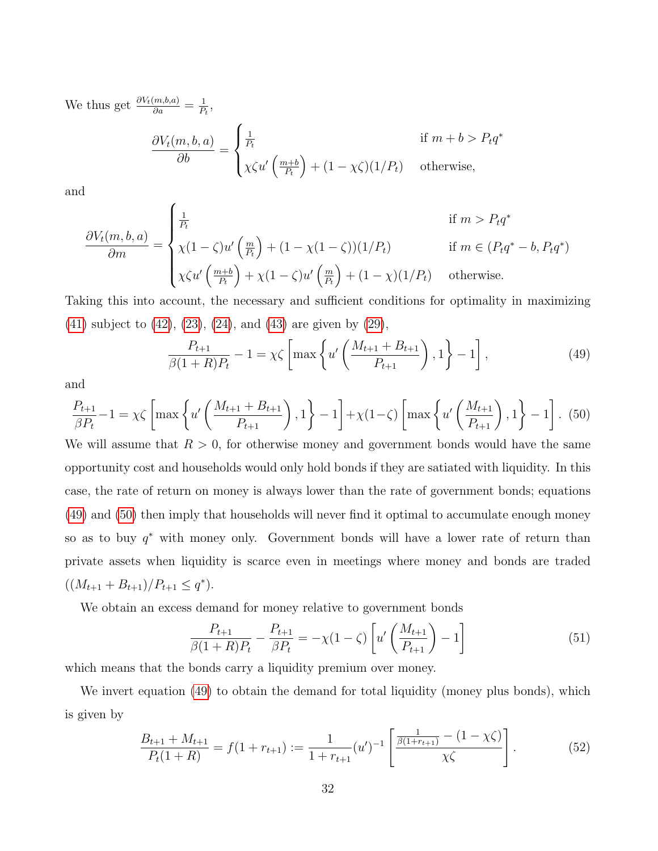We thus get  $\frac{\partial V_t(m,b,a)}{\partial a} = \frac{1}{P_1}$  $\frac{1}{P_t}$ 

$$
\frac{\partial V_t(m, b, a)}{\partial b} = \begin{cases} \frac{1}{P_t} & \text{if } m + b > P_t q^*\\ \chi \zeta u' \left(\frac{m + b}{P_t}\right) + (1 - \chi \zeta)(1/P_t) & \text{otherwise,} \end{cases}
$$

and

$$
\frac{\partial V_t(m, b, a)}{\partial m} = \begin{cases} \frac{1}{P_t} & \text{if } m > P_t q^* \\ \chi(1 - \zeta)u'\left(\frac{m}{P_t}\right) + (1 - \chi(1 - \zeta))(1/P_t) & \text{if } m \in (P_t q^* - b, P_t q^*) \\ \chi \zeta u'\left(\frac{m + b}{P_t}\right) + \chi(1 - \zeta)u'\left(\frac{m}{P_t}\right) + (1 - \chi)(1/P_t) & \text{otherwise.} \end{cases}
$$

Taking this into account, the necessary and sufficient conditions for optimality in maximizing [\(41\)](#page-30-2) subject to [\(42\)](#page-30-3), [\(23\)](#page-18-0), [\(24\)](#page-18-1), and [\(43\)](#page-31-1) are given by [\(29\)](#page-19-1),

<span id="page-32-0"></span>
$$
\frac{P_{t+1}}{\beta(1+R)P_t} - 1 = \chi \zeta \left[ \max \left\{ u' \left( \frac{M_{t+1} + B_{t+1}}{P_{t+1}} \right), 1 \right\} - 1 \right],\tag{49}
$$

and

<span id="page-32-1"></span>
$$
\frac{P_{t+1}}{\beta P_t} - 1 = \chi \zeta \left[ \max \left\{ u' \left( \frac{M_{t+1} + B_{t+1}}{P_{t+1}} \right), 1 \right\} - 1 \right] + \chi (1 - \zeta) \left[ \max \left\{ u' \left( \frac{M_{t+1}}{P_{t+1}} \right), 1 \right\} - 1 \right].
$$
 (50)

We will assume that  $R > 0$ , for otherwise money and government bonds would have the same opportunity cost and households would only hold bonds if they are satiated with liquidity. In this case, the rate of return on money is always lower than the rate of government bonds; equations [\(49\)](#page-32-0) and [\(50\)](#page-32-1) then imply that households will never find it optimal to accumulate enough money so as to buy  $q^*$  with money only. Government bonds will have a lower rate of return than private assets when liquidity is scarce even in meetings where money and bonds are traded  $((M_{t+1} + B_{t+1})/P_{t+1} \leq q^*).$ 

We obtain an excess demand for money relative to government bonds

<span id="page-32-2"></span>
$$
\frac{P_{t+1}}{\beta(1+R)P_t} - \frac{P_{t+1}}{\beta P_t} = -\chi(1-\zeta) \left[ u' \left( \frac{M_{t+1}}{P_{t+1}} \right) - 1 \right]
$$
(51)

which means that the bonds carry a liquidity premium over money.

We invert equation [\(49\)](#page-32-0) to obtain the demand for total liquidity (money plus bonds), which is given by

$$
\frac{B_{t+1} + M_{t+1}}{P_t(1+R)} = f(1+r_{t+1}) := \frac{1}{1+r_{t+1}} (u')^{-1} \left[ \frac{\frac{1}{\beta(1+r_{t+1})} - (1-\chi\zeta)}{\chi\zeta} \right].
$$
\n(52)